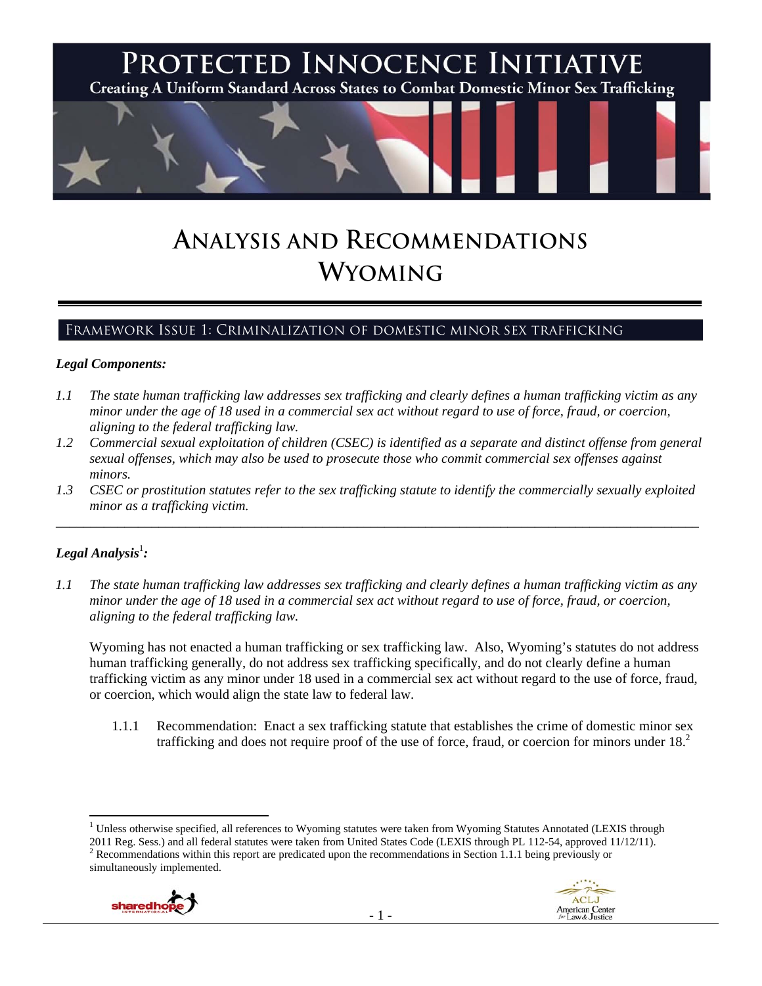

# **ANALYSIS AND RECOMMENDATIONS WYOMING**

## Framework Issue 1: Criminalization of domestic minor sex trafficking

#### *Legal Components:*

- *1.1 The state human trafficking law addresses sex trafficking and clearly defines a human trafficking victim as any minor under the age of 18 used in a commercial sex act without regard to use of force, fraud, or coercion, aligning to the federal trafficking law.*
- *1.2 Commercial sexual exploitation of children (CSEC) is identified as a separate and distinct offense from general sexual offenses, which may also be used to prosecute those who commit commercial sex offenses against minors.*
- *1.3 CSEC or prostitution statutes refer to the sex trafficking statute to identify the commercially sexually exploited minor as a trafficking victim.*  \_\_\_\_\_\_\_\_\_\_\_\_\_\_\_\_\_\_\_\_\_\_\_\_\_\_\_\_\_\_\_\_\_\_\_\_\_\_\_\_\_\_\_\_\_\_\_\_\_\_\_\_\_\_\_\_\_\_\_\_\_\_\_\_\_\_\_\_\_\_\_\_\_\_\_\_\_\_\_\_\_\_\_\_\_\_\_\_\_\_\_\_\_\_

## $\bm{\mathit{Legal\, Analysis^{\text{!}}:}}$

*1.1 The state human trafficking law addresses sex trafficking and clearly defines a human trafficking victim as any minor under the age of 18 used in a commercial sex act without regard to use of force, fraud, or coercion, aligning to the federal trafficking law.* 

Wyoming has not enacted a human trafficking or sex trafficking law. Also, Wyoming's statutes do not address human trafficking generally, do not address sex trafficking specifically, and do not clearly define a human trafficking victim as any minor under 18 used in a commercial sex act without regard to the use of force, fraud, or coercion, which would align the state law to federal law.

1.1.1 Recommendation: Enact a sex trafficking statute that establishes the crime of domestic minor sex trafficking and does not require proof of the use of force, fraud, or coercion for minors under 18.<sup>2</sup>

<sup>2011</sup> Reg. Sess.) and all federal statutes were taken from United States Code (LEXIS through PL 112-54, approved 11/12/11).<br><sup>2</sup> Recommendations within this report are predicated upon the recommendations in Section 1.1.1 bei simultaneously implemented.





<sup>&</sup>lt;sup>1</sup> Unless otherwise specified, all references to Wyoming statutes were taken from Wyoming Statutes Annotated (LEXIS through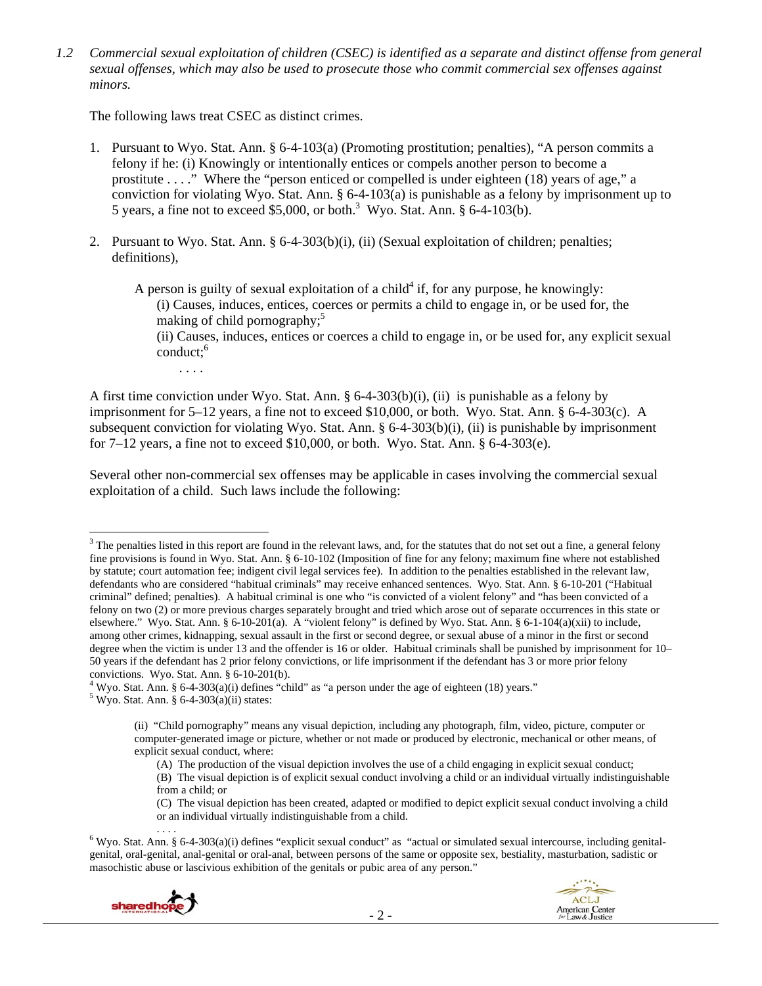*1.2 Commercial sexual exploitation of children (CSEC) is identified as a separate and distinct offense from general sexual offenses, which may also be used to prosecute those who commit commercial sex offenses against minors.* 

The following laws treat CSEC as distinct crimes.

- 1. Pursuant to Wyo. Stat. Ann. § 6-4-103(a) (Promoting prostitution; penalties), "A person commits a felony if he: (i) Knowingly or intentionally entices or compels another person to become a prostitute . . . ." Where the "person enticed or compelled is under eighteen (18) years of age," a conviction for violating Wyo. Stat. Ann. § 6-4-103(a) is punishable as a felony by imprisonment up to 5 years, a fine not to exceed \$5,000, or both.<sup>3</sup> Wyo. Stat. Ann. § 6-4-103(b).
- 2. Pursuant to Wyo. Stat. Ann. § 6-4-303(b)(i), (ii) (Sexual exploitation of children; penalties; definitions),

A person is guilty of sexual exploitation of a child<sup>4</sup> if, for any purpose, he knowingly: (i) Causes, induces, entices, coerces or permits a child to engage in, or be used for, the making of child pornography; $5<sup>5</sup>$ 

(ii) Causes, induces, entices or coerces a child to engage in, or be used for, any explicit sexual  $\text{conduct:}^6$ 

. . . .

A first time conviction under Wyo. Stat. Ann. § 6-4-303(b)(i), (ii) is punishable as a felony by imprisonment for 5–12 years, a fine not to exceed \$10,000, or both. Wyo. Stat. Ann. § 6-4-303(c). A subsequent conviction for violating Wyo. Stat. Ann. § 6-4-303(b)(i), (ii) is punishable by imprisonment for  $7-12$  years, a fine not to exceed \$10,000, or both. Wyo. Stat. Ann. § 6-4-303(e).

Several other non-commercial sex offenses may be applicable in cases involving the commercial sexual exploitation of a child. Such laws include the following:

<sup>....&</sup>lt;br>Wyo. Stat. Ann. § 6-4-303(a)(i) defines "explicit sexual conduct" as "actual or simulated sexual intercourse, including genitalgenital, oral-genital, anal-genital or oral-anal, between persons of the same or opposite sex, bestiality, masturbation, sadistic or masochistic abuse or lascivious exhibition of the genitals or pubic area of any person."





  $3$  The penalties listed in this report are found in the relevant laws, and, for the statutes that do not set out a fine, a general felony fine provisions is found in Wyo. Stat. Ann. § 6-10-102 (Imposition of fine for any felony; maximum fine where not established by statute; court automation fee; indigent civil legal services fee). In addition to the penalties established in the relevant law, defendants who are considered "habitual criminals" may receive enhanced sentences. Wyo. Stat. Ann. § 6-10-201 ("Habitual criminal" defined; penalties). A habitual criminal is one who "is convicted of a violent felony" and "has been convicted of a felony on two (2) or more previous charges separately brought and tried which arose out of separate occurrences in this state or elsewhere." Wyo. Stat. Ann. § 6-10-201(a). A "violent felony" is defined by Wyo. Stat. Ann. § 6-1-104(a)(xii) to include, among other crimes, kidnapping, sexual assault in the first or second degree, or sexual abuse of a minor in the first or second degree when the victim is under 13 and the offender is 16 or older. Habitual criminals shall be punished by imprisonment for 10– 50 years if the defendant has 2 prior felony convictions, or life imprisonment if the defendant has 3 or more prior felony convictions. Wyo. Stat. Ann. § 6-10-201(b).

<sup>&</sup>lt;sup>4</sup> Wyo. Stat. Ann. § 6-4-303(a)(i) defines "child" as "a person under the age of eighteen (18) years."<br><sup>5</sup> Wyo. Stat. Ann. § 6.4.303(a)(ii) states:

 $5$  Wyo. Stat. Ann. § 6-4-303(a)(ii) states:

<sup>(</sup>ii) "Child pornography" means any visual depiction, including any photograph, film, video, picture, computer or computer-generated image or picture, whether or not made or produced by electronic, mechanical or other means, of explicit sexual conduct, where:

<sup>(</sup>A) The production of the visual depiction involves the use of a child engaging in explicit sexual conduct; (B) The visual depiction is of explicit sexual conduct involving a child or an individual virtually indistinguishable from a child; or

<sup>(</sup>C) The visual depiction has been created, adapted or modified to depict explicit sexual conduct involving a child or an individual virtually indistinguishable from a child.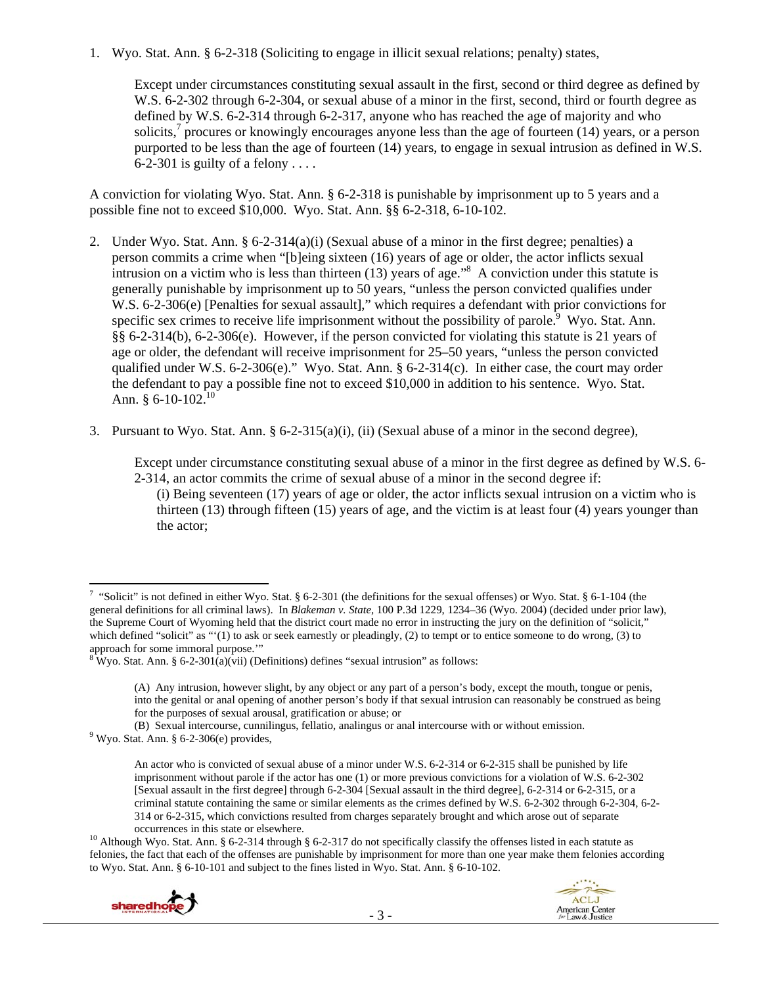1. Wyo. Stat. Ann. § 6-2-318 (Soliciting to engage in illicit sexual relations; penalty) states,

Except under circumstances constituting sexual assault in the first, second or third degree as defined by W.S. 6-2-302 through 6-2-304, or sexual abuse of a minor in the first, second, third or fourth degree as defined by W.S. 6-2-314 through 6-2-317, anyone who has reached the age of majority and who solicits, $\frac{7}{1}$  procures or knowingly encourages anyone less than the age of fourteen (14) years, or a person purported to be less than the age of fourteen (14) years, to engage in sexual intrusion as defined in W.S. 6-2-301 is guilty of a felony . . . .

A conviction for violating Wyo. Stat. Ann. § 6-2-318 is punishable by imprisonment up to 5 years and a possible fine not to exceed \$10,000. Wyo. Stat. Ann. §§ 6-2-318, 6-10-102.

- 2. Under Wyo. Stat. Ann. § 6-2-314(a)(i) (Sexual abuse of a minor in the first degree; penalties) a person commits a crime when "[b]eing sixteen (16) years of age or older, the actor inflicts sexual intrusion on a victim who is less than thirteen  $(13)$  years of age.<sup>38</sup> A conviction under this statute is generally punishable by imprisonment up to 50 years, "unless the person convicted qualifies under W.S. 6-2-306(e) [Penalties for sexual assault]," which requires a defendant with prior convictions for specific sex crimes to receive life imprisonment without the possibility of parole.<sup>9</sup> Wyo. Stat. Ann. §§ 6-2-314(b), 6-2-306(e). However, if the person convicted for violating this statute is 21 years of age or older, the defendant will receive imprisonment for 25–50 years, "unless the person convicted qualified under W.S. 6-2-306(e)." Wyo. Stat. Ann. § 6-2-314(c). In either case, the court may order the defendant to pay a possible fine not to exceed \$10,000 in addition to his sentence. Wyo. Stat. Ann. § 6-10-102.<sup>10</sup>
- 3. Pursuant to Wyo. Stat. Ann. § 6-2-315(a)(i), (ii) (Sexual abuse of a minor in the second degree),

Except under circumstance constituting sexual abuse of a minor in the first degree as defined by W.S. 6- 2-314, an actor commits the crime of sexual abuse of a minor in the second degree if:

(i) Being seventeen (17) years of age or older, the actor inflicts sexual intrusion on a victim who is thirteen (13) through fifteen (15) years of age, and the victim is at least four (4) years younger than the actor;

(B) Sexual intercourse, cunnilingus, fellatio, analingus or anal intercourse with or without emission. 9

occurrences in this state or elsewhere.<br><sup>10</sup> Although Wyo. Stat. Ann. § 6-2-314 through § 6-2-317 do not specifically classify the offenses listed in each statute as felonies, the fact that each of the offenses are punishable by imprisonment for more than one year make them felonies according to Wyo. Stat. Ann. § 6-10-101 and subject to the fines listed in Wyo. Stat. Ann. § 6-10-102.



<sup>&</sup>lt;sup>7</sup> "Solicit" is not defined in either Wyo. Stat. § 6-2-301 (the definitions for the sexual offenses) or Wyo. Stat. § 6-1-104 (the general definitions for all criminal laws). In *Blakeman v. State*, 100 P.3d 1229, 1234–36 (Wyo. 2004) (decided under prior law), the Supreme Court of Wyoming held that the district court made no error in instructing the jury on the definition of "solicit," which defined "solicit" as "'(1) to ask or seek earnestly or pleadingly, (2) to tempt or to entice someone to do wrong, (3) to approach for some immoral purpose.'"

 $8 \text{ Wyo}$ . Stat. Ann. § 6-2-301(a)(vii) (Definitions) defines "sexual intrusion" as follows:

<sup>(</sup>A) Any intrusion, however slight, by any object or any part of a person's body, except the mouth, tongue or penis, into the genital or anal opening of another person's body if that sexual intrusion can reasonably be construed as being for the purposes of sexual arousal, gratification or abuse; or

 $9$  Wyo. Stat. Ann. § 6-2-306(e) provides,

An actor who is convicted of sexual abuse of a minor under W.S. 6-2-314 or 6-2-315 shall be punished by life imprisonment without parole if the actor has one (1) or more previous convictions for a violation of W.S. 6-2-302 [Sexual assault in the first degree] through 6-2-304 [Sexual assault in the third degree], 6-2-314 or 6-2-315, or a criminal statute containing the same or similar elements as the crimes defined by W.S. 6-2-302 through 6-2-304, 6-2- 314 or 6-2-315, which convictions resulted from charges separately brought and which arose out of separate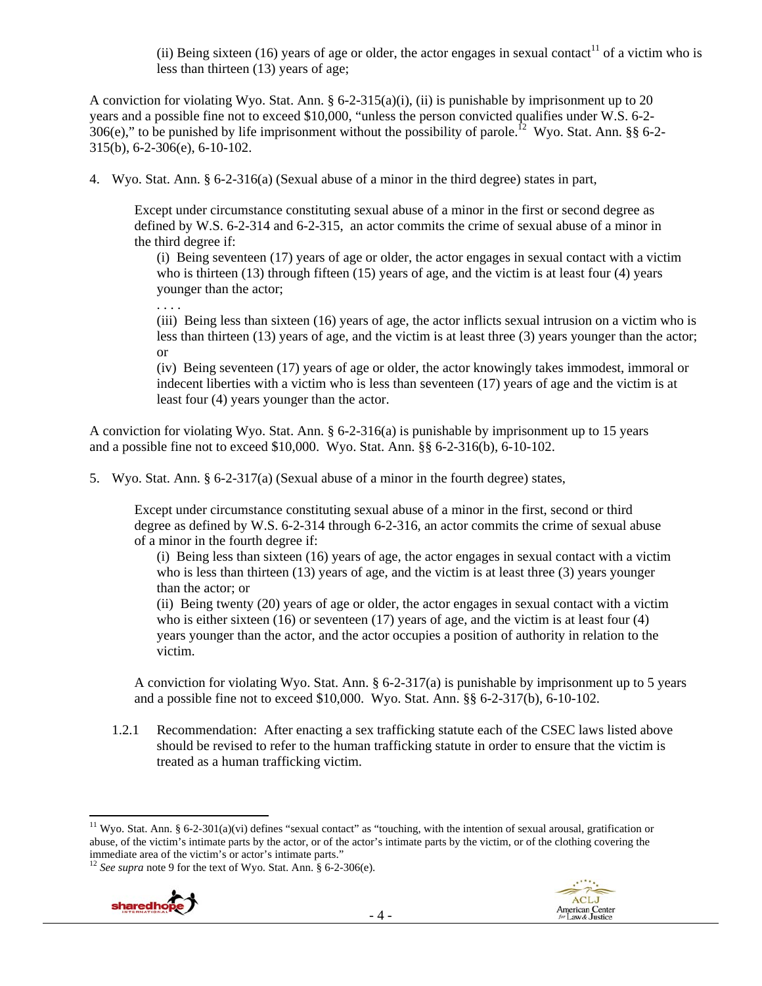(ii) Being sixteen (16) years of age or older, the actor engages in sexual contact<sup>11</sup> of a victim who is less than thirteen (13) years of age;

A conviction for violating Wyo. Stat. Ann. § 6-2-315(a)(i), (ii) is punishable by imprisonment up to 20 years and a possible fine not to exceed \$10,000, "unless the person convicted qualifies under W.S. 6-2- 306(e)," to be punished by life imprisonment without the possibility of parole.<sup>12</sup> Wyo. Stat. Ann. §§ 6-2-315(b), 6-2-306(e), 6-10-102.

4. Wyo. Stat. Ann. § 6-2-316(a) (Sexual abuse of a minor in the third degree) states in part,

Except under circumstance constituting sexual abuse of a minor in the first or second degree as defined by W.S. 6-2-314 and 6-2-315, an actor commits the crime of sexual abuse of a minor in the third degree if:

(i) Being seventeen (17) years of age or older, the actor engages in sexual contact with a victim who is thirteen (13) through fifteen (15) years of age, and the victim is at least four (4) years younger than the actor;

. . . .

(iii) Being less than sixteen (16) years of age, the actor inflicts sexual intrusion on a victim who is less than thirteen (13) years of age, and the victim is at least three (3) years younger than the actor; or

(iv) Being seventeen (17) years of age or older, the actor knowingly takes immodest, immoral or indecent liberties with a victim who is less than seventeen (17) years of age and the victim is at least four (4) years younger than the actor.

A conviction for violating Wyo. Stat. Ann. § 6-2-316(a) is punishable by imprisonment up to 15 years and a possible fine not to exceed \$10,000. Wyo. Stat. Ann. §§ 6-2-316(b), 6-10-102.

5. Wyo. Stat. Ann. § 6-2-317(a) (Sexual abuse of a minor in the fourth degree) states,

Except under circumstance constituting sexual abuse of a minor in the first, second or third degree as defined by W.S. 6-2-314 through 6-2-316, an actor commits the crime of sexual abuse of a minor in the fourth degree if:

(i) Being less than sixteen (16) years of age, the actor engages in sexual contact with a victim who is less than thirteen (13) years of age, and the victim is at least three (3) years younger than the actor; or

(ii) Being twenty (20) years of age or older, the actor engages in sexual contact with a victim who is either sixteen  $(16)$  or seventeen  $(17)$  years of age, and the victim is at least four  $(4)$ years younger than the actor, and the actor occupies a position of authority in relation to the victim.

A conviction for violating Wyo. Stat. Ann. § 6-2-317(a) is punishable by imprisonment up to 5 years and a possible fine not to exceed \$10,000. Wyo. Stat. Ann. §§ 6-2-317(b), 6-10-102.

1.2.1 Recommendation: After enacting a sex trafficking statute each of the CSEC laws listed above should be revised to refer to the human trafficking statute in order to ensure that the victim is treated as a human trafficking victim.

<sup>12</sup> *See supra* note 9 for the text of Wyo. Stat. Ann. § 6-2-306(e).





<sup>&</sup>lt;sup>11</sup> Wyo. Stat. Ann. § 6-2-301(a)(vi) defines "sexual contact" as "touching, with the intention of sexual arousal, gratification or abuse, of the victim's intimate parts by the actor, or of the actor's intimate parts by the victim, or of the clothing covering the immediate area of the victim's or actor's intimate parts."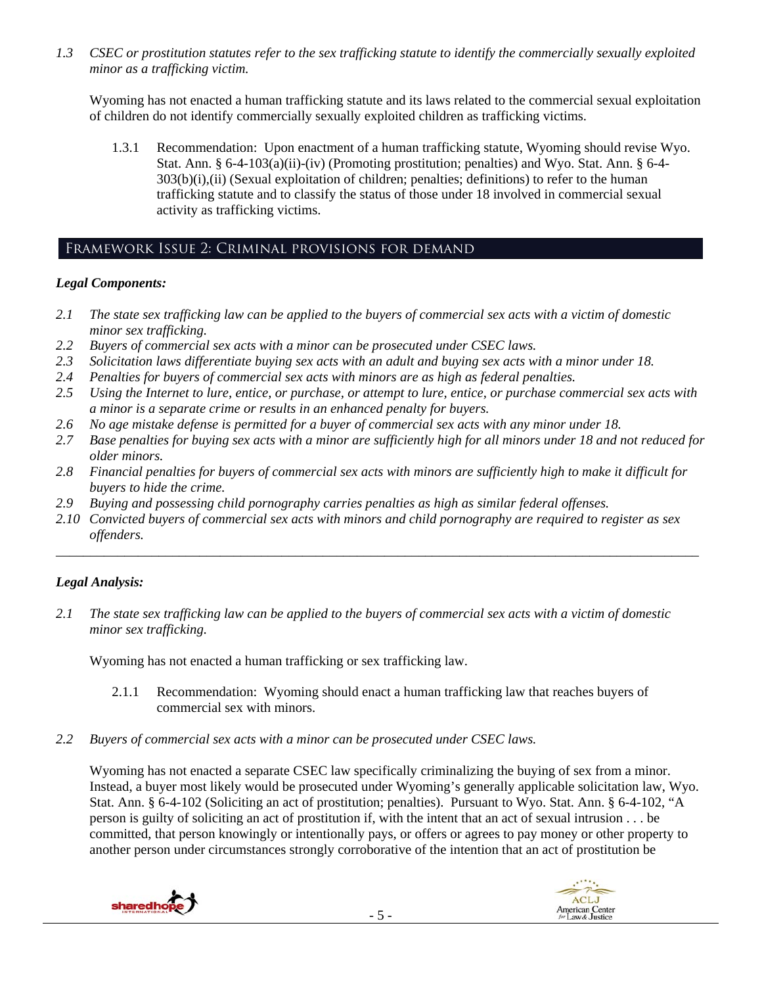*1.3 CSEC or prostitution statutes refer to the sex trafficking statute to identify the commercially sexually exploited minor as a trafficking victim.* 

Wyoming has not enacted a human trafficking statute and its laws related to the commercial sexual exploitation of children do not identify commercially sexually exploited children as trafficking victims.

1.3.1 Recommendation: Upon enactment of a human trafficking statute, Wyoming should revise Wyo. Stat. Ann. § 6-4-103(a)(ii)-(iv) (Promoting prostitution; penalties) and Wyo. Stat. Ann. § 6-4-  $303(b)(i),(ii)$  (Sexual exploitation of children; penalties; definitions) to refer to the human trafficking statute and to classify the status of those under 18 involved in commercial sexual activity as trafficking victims.

## Framework Issue 2: Criminal provisions for demand

#### *Legal Components:*

- *2.1 The state sex trafficking law can be applied to the buyers of commercial sex acts with a victim of domestic minor sex trafficking.*
- *2.2 Buyers of commercial sex acts with a minor can be prosecuted under CSEC laws.*
- *2.3 Solicitation laws differentiate buying sex acts with an adult and buying sex acts with a minor under 18.*
- *2.4 Penalties for buyers of commercial sex acts with minors are as high as federal penalties.*
- *2.5 Using the Internet to lure, entice, or purchase, or attempt to lure, entice, or purchase commercial sex acts with a minor is a separate crime or results in an enhanced penalty for buyers.*
- *2.6 No age mistake defense is permitted for a buyer of commercial sex acts with any minor under 18.*
- 2.7 Base penalties for buying sex acts with a minor are sufficiently high for all minors under 18 and not reduced for *older minors.*
- *2.8 Financial penalties for buyers of commercial sex acts with minors are sufficiently high to make it difficult for buyers to hide the crime.*
- *2.9 Buying and possessing child pornography carries penalties as high as similar federal offenses.*
- *2.10 Convicted buyers of commercial sex acts with minors and child pornography are required to register as sex offenders.*

\_\_\_\_\_\_\_\_\_\_\_\_\_\_\_\_\_\_\_\_\_\_\_\_\_\_\_\_\_\_\_\_\_\_\_\_\_\_\_\_\_\_\_\_\_\_\_\_\_\_\_\_\_\_\_\_\_\_\_\_\_\_\_\_\_\_\_\_\_\_\_\_\_\_\_\_\_\_\_\_\_\_\_\_\_\_\_\_\_\_\_\_\_\_

## *Legal Analysis:*

*2.1 The state sex trafficking law can be applied to the buyers of commercial sex acts with a victim of domestic minor sex trafficking.* 

Wyoming has not enacted a human trafficking or sex trafficking law.

- 2.1.1 Recommendation: Wyoming should enact a human trafficking law that reaches buyers of commercial sex with minors.
- *2.2 Buyers of commercial sex acts with a minor can be prosecuted under CSEC laws.*

Wyoming has not enacted a separate CSEC law specifically criminalizing the buying of sex from a minor. Instead, a buyer most likely would be prosecuted under Wyoming's generally applicable solicitation law, Wyo. Stat. Ann. § 6-4-102 (Soliciting an act of prostitution; penalties). Pursuant to Wyo. Stat. Ann. § 6-4-102, "A person is guilty of soliciting an act of prostitution if, with the intent that an act of sexual intrusion . . . be committed, that person knowingly or intentionally pays, or offers or agrees to pay money or other property to another person under circumstances strongly corroborative of the intention that an act of prostitution be



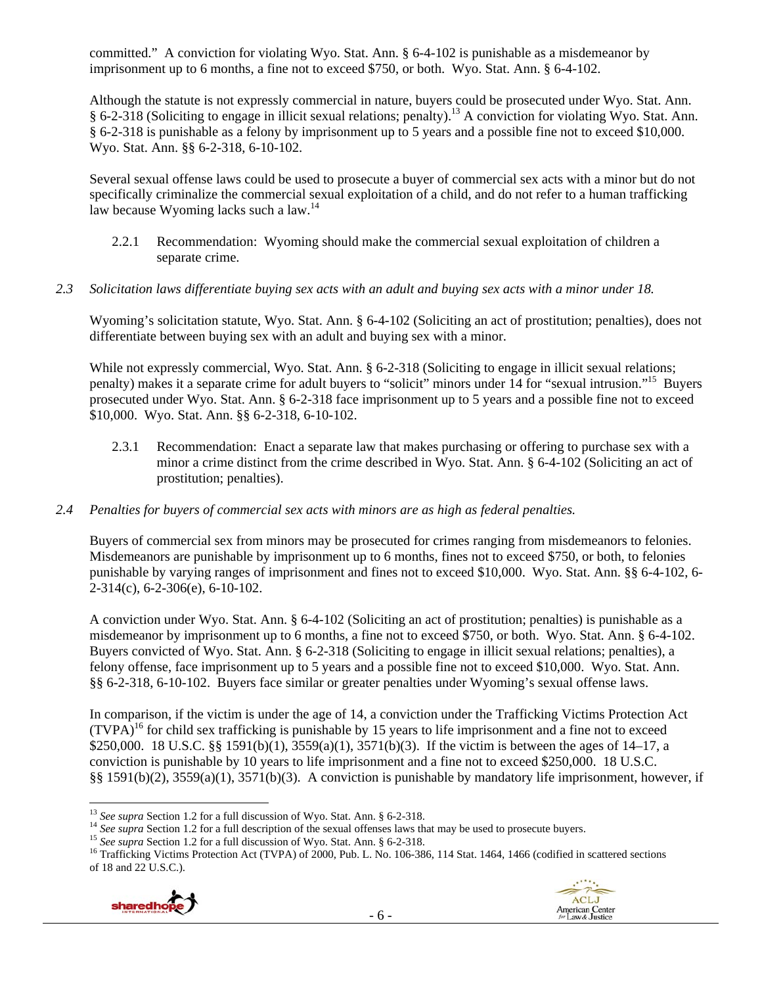committed." A conviction for violating Wyo. Stat. Ann. § 6-4-102 is punishable as a misdemeanor by imprisonment up to 6 months, a fine not to exceed \$750, or both. Wyo. Stat. Ann. § 6-4-102.

Although the statute is not expressly commercial in nature, buyers could be prosecuted under Wyo. Stat. Ann. § 6-2-318 (Soliciting to engage in illicit sexual relations; penalty).13 A conviction for violating Wyo. Stat. Ann. § 6-2-318 is punishable as a felony by imprisonment up to 5 years and a possible fine not to exceed \$10,000. Wyo. Stat. Ann. §§ 6-2-318, 6-10-102.

Several sexual offense laws could be used to prosecute a buyer of commercial sex acts with a minor but do not specifically criminalize the commercial sexual exploitation of a child, and do not refer to a human trafficking law because Wyoming lacks such a law.<sup>14</sup>

- 2.2.1 Recommendation: Wyoming should make the commercial sexual exploitation of children a separate crime.
- *2.3 Solicitation laws differentiate buying sex acts with an adult and buying sex acts with a minor under 18.*

Wyoming's solicitation statute, Wyo. Stat. Ann. § 6-4-102 (Soliciting an act of prostitution; penalties), does not differentiate between buying sex with an adult and buying sex with a minor.

While not expressly commercial, Wyo. Stat. Ann. § 6-2-318 (Soliciting to engage in illicit sexual relations; penalty) makes it a separate crime for adult buyers to "solicit" minors under 14 for "sexual intrusion."15 Buyers prosecuted under Wyo. Stat. Ann. § 6-2-318 face imprisonment up to 5 years and a possible fine not to exceed \$10,000. Wyo. Stat. Ann. §§ 6-2-318, 6-10-102.

- 2.3.1 Recommendation: Enact a separate law that makes purchasing or offering to purchase sex with a minor a crime distinct from the crime described in Wyo. Stat. Ann. § 6-4-102 (Soliciting an act of prostitution; penalties).
- *2.4 Penalties for buyers of commercial sex acts with minors are as high as federal penalties.*

Buyers of commercial sex from minors may be prosecuted for crimes ranging from misdemeanors to felonies. Misdemeanors are punishable by imprisonment up to 6 months, fines not to exceed \$750, or both, to felonies punishable by varying ranges of imprisonment and fines not to exceed \$10,000. Wyo. Stat. Ann. §§ 6-4-102, 6- 2-314(c), 6-2-306(e), 6-10-102.

A conviction under Wyo. Stat. Ann. § 6-4-102 (Soliciting an act of prostitution; penalties) is punishable as a misdemeanor by imprisonment up to 6 months, a fine not to exceed \$750, or both. Wyo. Stat. Ann. § 6-4-102. Buyers convicted of Wyo. Stat. Ann. § 6-2-318 (Soliciting to engage in illicit sexual relations; penalties), a felony offense, face imprisonment up to 5 years and a possible fine not to exceed \$10,000. Wyo. Stat. Ann. §§ 6-2-318, 6-10-102. Buyers face similar or greater penalties under Wyoming's sexual offense laws.

In comparison, if the victim is under the age of 14, a conviction under the Trafficking Victims Protection Act  $(TVPA)<sup>16</sup>$  for child sex trafficking is punishable by 15 years to life imprisonment and a fine not to exceed \$250,000. 18 U.S.C. §§ 1591(b)(1), 3559(a)(1), 3571(b)(3). If the victim is between the ages of 14–17, a conviction is punishable by 10 years to life imprisonment and a fine not to exceed \$250,000. 18 U.S.C. §§ 1591(b)(2), 3559(a)(1), 3571(b)(3). A conviction is punishable by mandatory life imprisonment, however, if

of 18 and 22 U.S.C.).



<sup>&</sup>lt;sup>13</sup> See supra Section 1.2 for a full discussion of Wyo. Stat. Ann. § 6-2-318.

<sup>&</sup>lt;sup>14</sup> See supra Section 1.2 for a full description of the sexual offenses laws that may be used to prosecute buyers.<br><sup>15</sup> See supra Section 1.2 for a full discussion of Wyo. Stat. Ann. § 6-2-318.<br><sup>16</sup> Trafficking Victims Pr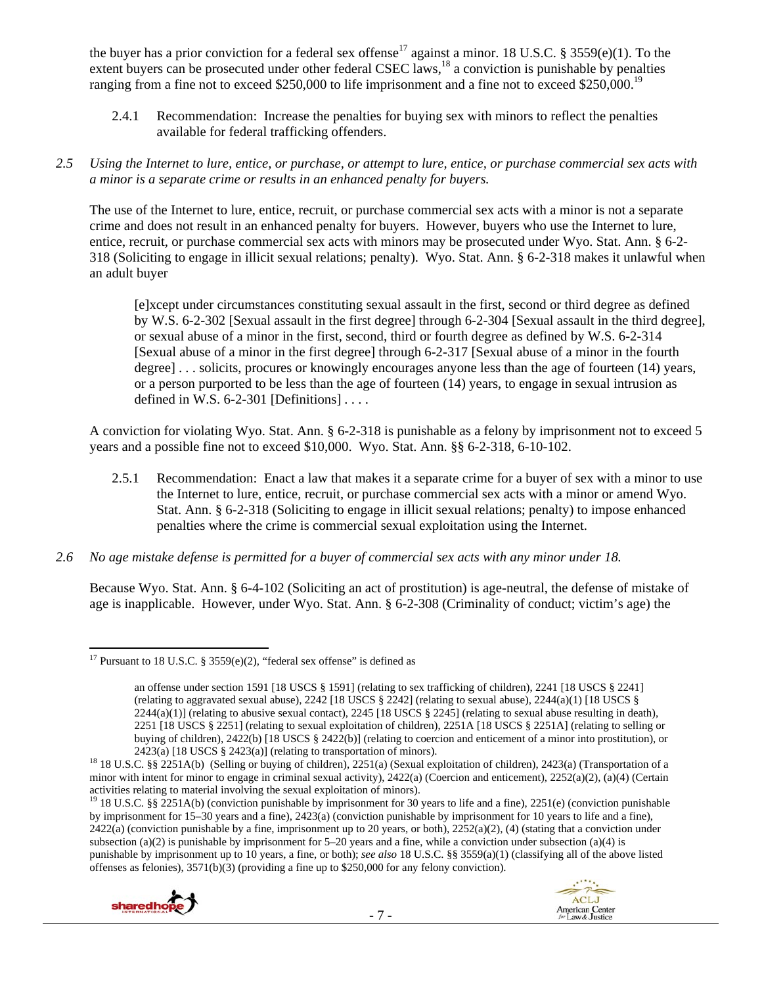the buyer has a prior conviction for a federal sex offense<sup>17</sup> against a minor. 18 U.S.C. § 3559(e)(1). To the extent buyers can be prosecuted under other federal CSEC laws,<sup>18</sup> a conviction is punishable by penalties ranging from a fine not to exceed \$250,000 to life imprisonment and a fine not to exceed \$250,000.<sup>19</sup>

2.4.1 Recommendation: Increase the penalties for buying sex with minors to reflect the penalties available for federal trafficking offenders.

## *2.5 Using the Internet to lure, entice, or purchase, or attempt to lure, entice, or purchase commercial sex acts with a minor is a separate crime or results in an enhanced penalty for buyers.*

The use of the Internet to lure, entice, recruit, or purchase commercial sex acts with a minor is not a separate crime and does not result in an enhanced penalty for buyers. However, buyers who use the Internet to lure, entice, recruit, or purchase commercial sex acts with minors may be prosecuted under Wyo. Stat. Ann. § 6-2- 318 (Soliciting to engage in illicit sexual relations; penalty). Wyo. Stat. Ann. § 6-2-318 makes it unlawful when an adult buyer

[e]xcept under circumstances constituting sexual assault in the first, second or third degree as defined by W.S. 6-2-302 [Sexual assault in the first degree] through 6-2-304 [Sexual assault in the third degree], or sexual abuse of a minor in the first, second, third or fourth degree as defined by W.S. 6-2-314 [Sexual abuse of a minor in the first degree] through 6-2-317 [Sexual abuse of a minor in the fourth degree] . . . solicits, procures or knowingly encourages anyone less than the age of fourteen (14) years, or a person purported to be less than the age of fourteen (14) years, to engage in sexual intrusion as defined in W.S.  $6-2-301$  [Definitions] ...

A conviction for violating Wyo. Stat. Ann. § 6-2-318 is punishable as a felony by imprisonment not to exceed 5 years and a possible fine not to exceed \$10,000. Wyo. Stat. Ann. §§ 6-2-318, 6-10-102.

- 2.5.1 Recommendation: Enact a law that makes it a separate crime for a buyer of sex with a minor to use the Internet to lure, entice, recruit, or purchase commercial sex acts with a minor or amend Wyo. Stat. Ann. § 6-2-318 (Soliciting to engage in illicit sexual relations; penalty) to impose enhanced penalties where the crime is commercial sexual exploitation using the Internet.
- *2.6 No age mistake defense is permitted for a buyer of commercial sex acts with any minor under 18.*

Because Wyo. Stat. Ann. § 6-4-102 (Soliciting an act of prostitution) is age-neutral, the defense of mistake of age is inapplicable. However, under Wyo. Stat. Ann. § 6-2-308 (Criminality of conduct; victim's age) the

<sup>&</sup>lt;sup>19</sup> 18 U.S.C. §§ 2251A(b) (conviction punishable by imprisonment for 30 years to life and a fine), 2251(e) (conviction punishable by imprisonment for 15–30 years and a fine), 2423(a) (conviction punishable by imprisonment for 10 years to life and a fine), 2422(a) (conviction punishable by a fine, imprisonment up to 20 years, or both), 2252(a)(2), (4) (stating that a conviction under subsection (a)(2) is punishable by imprisonment for  $5-20$  years and a fine, while a conviction under subsection (a)(4) is punishable by imprisonment up to 10 years, a fine, or both); *see also* 18 U.S.C. §§ 3559(a)(1) (classifying all of the above listed offenses as felonies), 3571(b)(3) (providing a fine up to \$250,000 for any felony conviction).





 <sup>17</sup> Pursuant to 18 U.S.C. § 3559 $(e)(2)$ , "federal sex offense" is defined as

an offense under section 1591 [18 USCS § 1591] (relating to sex trafficking of children), 2241 [18 USCS § 2241] (relating to aggravated sexual abuse),  $2242$  [18 USCS § 2242] (relating to sexual abuse),  $2244(a)(1)$  [18 USCS §  $2244(a)(1)$  (relating to abusive sexual contact),  $2245$  [18 USCS § 2245] (relating to sexual abuse resulting in death), 2251 [18 USCS § 2251] (relating to sexual exploitation of children), 2251A [18 USCS § 2251A] (relating to selling or buying of children), 2422(b) [18 USCS § 2422(b)] (relating to coercion and enticement of a minor into prostitution), or

<sup>2423(</sup>a) [18 USCS § 2423(a)] (relating to transportation of minors). 18 18 U.S.C. §§ 2251A(b) (Selling or buying of children), 2251(a) (Sexual exploitation of children), 2423(a) (Transportation of a minor with intent for minor to engage in criminal sexual activity), 2422(a) (Coercion and enticement), 2252(a)(2), (a)(4) (Certain activities relating to material involving the sexual exploitation of minors).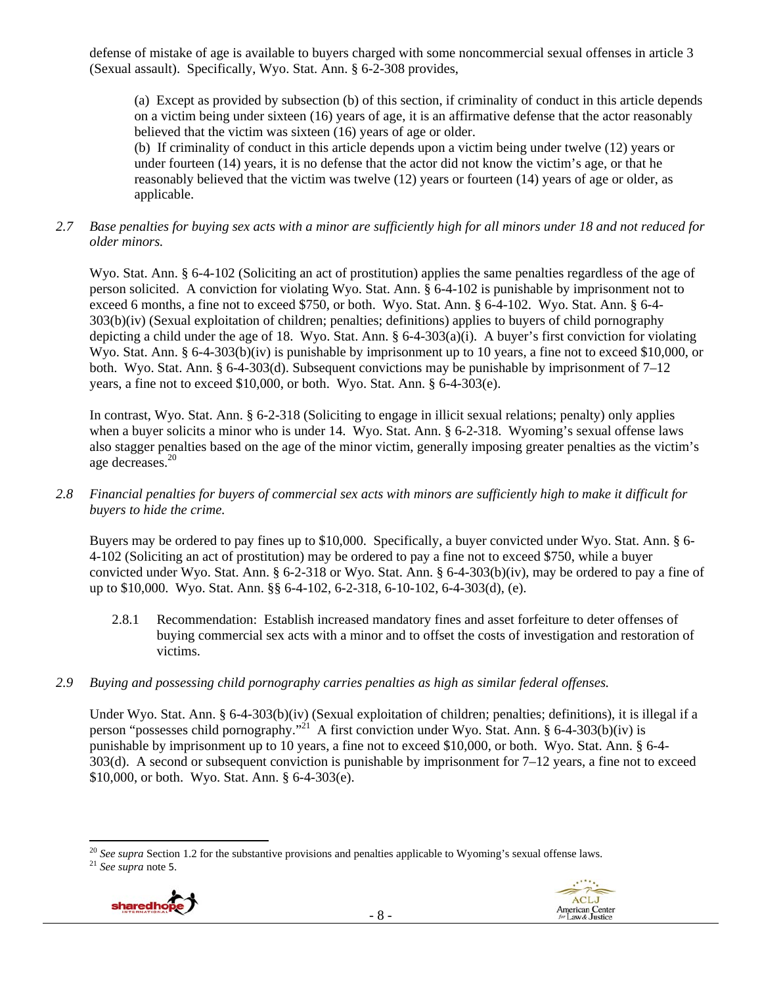defense of mistake of age is available to buyers charged with some noncommercial sexual offenses in article 3 (Sexual assault). Specifically, Wyo. Stat. Ann. § 6-2-308 provides,

(a) Except as provided by subsection (b) of this section, if criminality of conduct in this article depends on a victim being under sixteen (16) years of age, it is an affirmative defense that the actor reasonably believed that the victim was sixteen (16) years of age or older.

(b) If criminality of conduct in this article depends upon a victim being under twelve (12) years or under fourteen (14) years, it is no defense that the actor did not know the victim's age, or that he reasonably believed that the victim was twelve (12) years or fourteen (14) years of age or older, as applicable.

## *2.7 Base penalties for buying sex acts with a minor are sufficiently high for all minors under 18 and not reduced for older minors.*

Wyo. Stat. Ann. § 6-4-102 (Soliciting an act of prostitution) applies the same penalties regardless of the age of person solicited. A conviction for violating Wyo. Stat. Ann. § 6-4-102 is punishable by imprisonment not to exceed 6 months, a fine not to exceed \$750, or both. Wyo. Stat. Ann. § 6-4-102. Wyo. Stat. Ann. § 6-4- 303(b)(iv) (Sexual exploitation of children; penalties; definitions) applies to buyers of child pornography depicting a child under the age of 18. Wyo. Stat. Ann.  $\S 6-4-303(a)(i)$ . A buyer's first conviction for violating Wyo. Stat. Ann. § 6-4-303(b)(iv) is punishable by imprisonment up to 10 years, a fine not to exceed \$10,000, or both. Wyo. Stat. Ann. § 6-4-303(d). Subsequent convictions may be punishable by imprisonment of 7–12 years, a fine not to exceed \$10,000, or both. Wyo. Stat. Ann. § 6-4-303(e).

In contrast, Wyo. Stat. Ann. § 6-2-318 (Soliciting to engage in illicit sexual relations; penalty) only applies when a buyer solicits a minor who is under 14. Wyo. Stat. Ann. § 6-2-318. Wyoming's sexual offense laws also stagger penalties based on the age of the minor victim, generally imposing greater penalties as the victim's age decreases.20

## *2.8 Financial penalties for buyers of commercial sex acts with minors are sufficiently high to make it difficult for buyers to hide the crime.*

Buyers may be ordered to pay fines up to \$10,000. Specifically, a buyer convicted under Wyo. Stat. Ann. § 6- 4-102 (Soliciting an act of prostitution) may be ordered to pay a fine not to exceed \$750, while a buyer convicted under Wyo. Stat. Ann. § 6-2-318 or Wyo. Stat. Ann. § 6-4-303(b)(iv), may be ordered to pay a fine of up to \$10,000. Wyo. Stat. Ann. §§ 6-4-102, 6-2-318, 6-10-102, 6-4-303(d), (e).

- 2.8.1 Recommendation: Establish increased mandatory fines and asset forfeiture to deter offenses of buying commercial sex acts with a minor and to offset the costs of investigation and restoration of victims.
- *2.9 Buying and possessing child pornography carries penalties as high as similar federal offenses.*

Under Wyo. Stat. Ann. § 6-4-303(b)(iv) (Sexual exploitation of children; penalties; definitions), it is illegal if a person "possesses child pornography."<sup>21</sup> A first conviction under Wyo. Stat. Ann. § 6-4-303(b)(iv) is punishable by imprisonment up to 10 years, a fine not to exceed \$10,000, or both. Wyo. Stat. Ann. § 6-4- 303(d). A second or subsequent conviction is punishable by imprisonment for  $7-12$  years, a fine not to exceed \$10,000, or both. Wyo. Stat. Ann. § 6-4-303(e).

 <sup>20</sup> *See supra* Section 1.2 for the substantive provisions and penalties applicable to Wyoming's sexual offense laws. 21 *See supra* note 5.



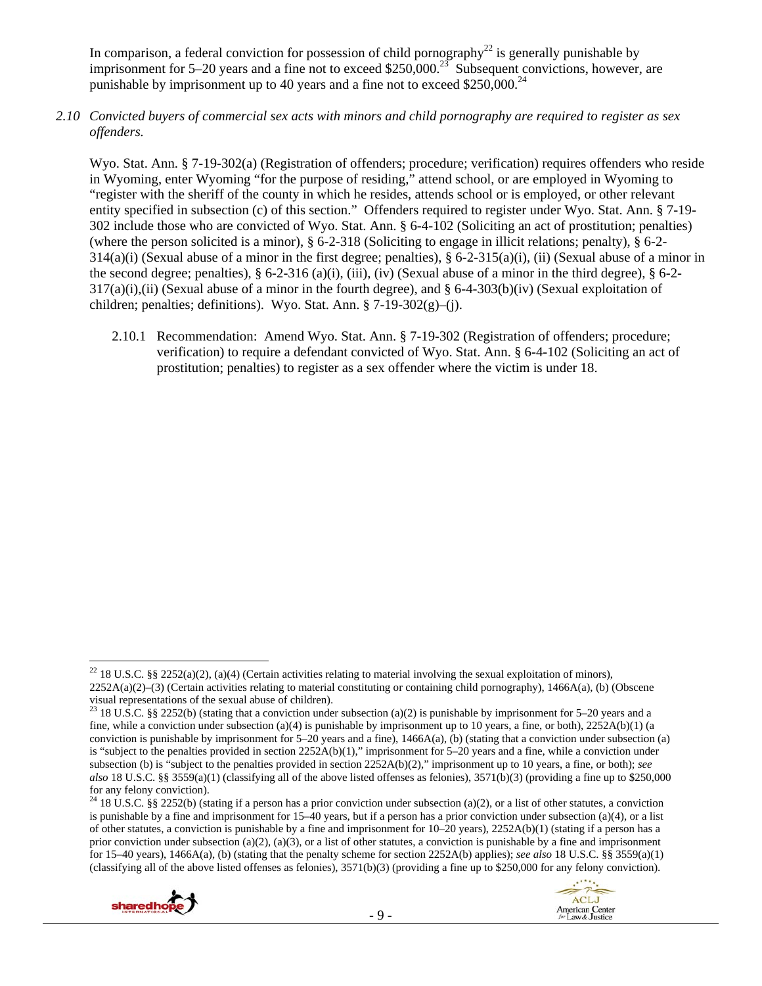In comparison, a federal conviction for possession of child pornography<sup>22</sup> is generally punishable by imprisonment for 5–20 years and a fine not to exceed \$250,000.<sup>23</sup> Subsequent convictions, however, are punishable by imprisonment up to 40 years and a fine not to exceed  $$250,000.<sup>24</sup>$ 

*2.10 Convicted buyers of commercial sex acts with minors and child pornography are required to register as sex offenders.* 

Wyo. Stat. Ann. § 7-19-302(a) (Registration of offenders; procedure; verification) requires offenders who reside in Wyoming, enter Wyoming "for the purpose of residing," attend school, or are employed in Wyoming to "register with the sheriff of the county in which he resides, attends school or is employed, or other relevant entity specified in subsection (c) of this section." Offenders required to register under Wyo. Stat. Ann. § 7-19- 302 include those who are convicted of Wyo. Stat. Ann. § 6-4-102 (Soliciting an act of prostitution; penalties) (where the person solicited is a minor), § 6-2-318 (Soliciting to engage in illicit relations; penalty), § 6-2-  $314(a)(i)$  (Sexual abuse of a minor in the first degree; penalties), § 6-2-315(a)(i), (ii) (Sexual abuse of a minor in the second degree; penalties),  $\S 6$ -2-316 (a)(i), (iii), (iv) (Sexual abuse of a minor in the third degree),  $\S 6$ -2- $317(a)(i)$ ,(ii) (Sexual abuse of a minor in the fourth degree), and § 6-4-303(b)(iv) (Sexual exploitation of children; penalties; definitions). Wyo. Stat. Ann.  $\S$  7-19-302(g)–(j).

2.10.1 Recommendation: Amend Wyo. Stat. Ann. § 7-19-302 (Registration of offenders; procedure; verification) to require a defendant convicted of Wyo. Stat. Ann. § 6-4-102 (Soliciting an act of prostitution; penalties) to register as a sex offender where the victim is under 18.

<sup>&</sup>lt;sup>24</sup> 18 U.S.C. §§ 2252(b) (stating if a person has a prior conviction under subsection (a)(2), or a list of other statutes, a conviction is punishable by a fine and imprisonment for 15–40 years, but if a person has a prior conviction under subsection (a)(4), or a list of other statutes, a conviction is punishable by a fine and imprisonment for 10–20 years), 2252A(b)(1) (stating if a person has a prior conviction under subsection (a)(2), (a)(3), or a list of other statutes, a conviction is punishable by a fine and imprisonment for 15–40 years), 1466A(a), (b) (stating that the penalty scheme for section 2252A(b) applies); *see also* 18 U.S.C. §§ 3559(a)(1) (classifying all of the above listed offenses as felonies), 3571(b)(3) (providing a fine up to \$250,000 for any felony conviction).





 <sup>22</sup> 18 U.S.C. §§ 2252(a)(2), (a)(4) (Certain activities relating to material involving the sexual exploitation of minors), 2252A(a)(2)–(3) (Certain activities relating to material constituting or containing child pornography), 1466A(a), (b) (Obscene visual representations of the sexual abuse of children).

<sup>&</sup>lt;sup>23</sup> 18 U.S.C. §§ 2252(b) (stating that a conviction under subsection (a)(2) is punishable by imprisonment for 5–20 years and a fine, while a conviction under subsection (a)(4) is punishable by imprisonment up to 10 years, a fine, or both),  $2252A(b)(1)$  (a conviction is punishable by imprisonment for 5–20 years and a fine), 1466A(a), (b) (stating that a conviction under subsection (a) is "subject to the penalties provided in section 2252A(b)(1)," imprisonment for 5–20 years and a fine, while a conviction under subsection (b) is "subject to the penalties provided in section 2252A(b)(2)," imprisonment up to 10 years, a fine, or both); *see also* 18 U.S.C. §§ 3559(a)(1) (classifying all of the above listed offenses as felonies), 3571(b)(3) (providing a fine up to \$250,000 for any felony conviction).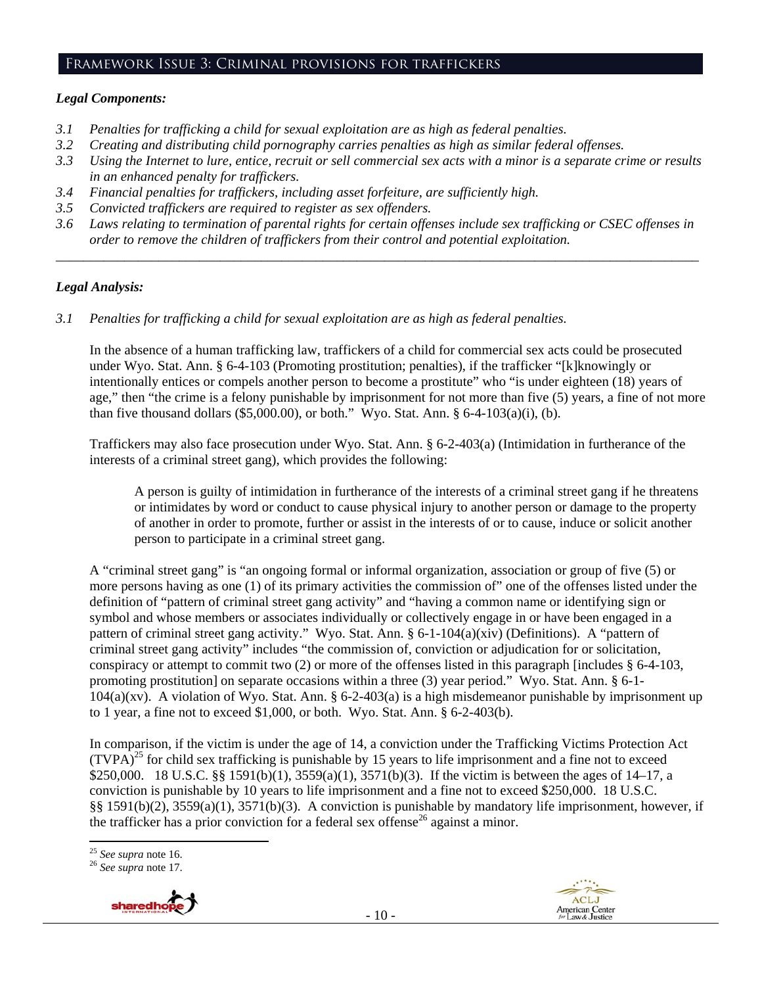#### Framework Issue 3: Criminal provisions for traffickers

## *Legal Components:*

- *3.1 Penalties for trafficking a child for sexual exploitation are as high as federal penalties.*
- *3.2 Creating and distributing child pornography carries penalties as high as similar federal offenses.*
- *3.3 Using the Internet to lure, entice, recruit or sell commercial sex acts with a minor is a separate crime or results in an enhanced penalty for traffickers.*
- *3.4 Financial penalties for traffickers, including asset forfeiture, are sufficiently high.*
- *3.5 Convicted traffickers are required to register as sex offenders.*
- *3.6 Laws relating to termination of parental rights for certain offenses include sex trafficking or CSEC offenses in order to remove the children of traffickers from their control and potential exploitation. \_\_\_\_\_\_\_\_\_\_\_\_\_\_\_\_\_\_\_\_\_\_\_\_\_\_\_\_\_\_\_\_\_\_\_\_\_\_\_\_\_\_\_\_\_\_\_\_\_\_\_\_\_\_\_\_\_\_\_\_\_\_\_\_\_\_\_\_\_\_\_\_\_\_\_\_\_\_\_\_\_\_\_\_\_\_\_\_\_\_\_\_\_\_*

## *Legal Analysis:*

*3.1 Penalties for trafficking a child for sexual exploitation are as high as federal penalties.* 

In the absence of a human trafficking law, traffickers of a child for commercial sex acts could be prosecuted under Wyo. Stat. Ann. § 6-4-103 (Promoting prostitution; penalties), if the trafficker "[k]knowingly or intentionally entices or compels another person to become a prostitute" who "is under eighteen (18) years of age," then "the crime is a felony punishable by imprisonment for not more than five (5) years, a fine of not more than five thousand dollars  $(\$5,000.00)$ , or both." Wyo. Stat. Ann. § 6-4-103(a)(i), (b).

Traffickers may also face prosecution under Wyo. Stat. Ann. § 6-2-403(a) (Intimidation in furtherance of the interests of a criminal street gang), which provides the following:

A person is guilty of intimidation in furtherance of the interests of a criminal street gang if he threatens or intimidates by word or conduct to cause physical injury to another person or damage to the property of another in order to promote, further or assist in the interests of or to cause, induce or solicit another person to participate in a criminal street gang.

A "criminal street gang" is "an ongoing formal or informal organization, association or group of five (5) or more persons having as one (1) of its primary activities the commission of" one of the offenses listed under the definition of "pattern of criminal street gang activity" and "having a common name or identifying sign or symbol and whose members or associates individually or collectively engage in or have been engaged in a pattern of criminal street gang activity." Wyo. Stat. Ann. § 6-1-104(a)(xiv) (Definitions). A "pattern of criminal street gang activity" includes "the commission of, conviction or adjudication for or solicitation, conspiracy or attempt to commit two (2) or more of the offenses listed in this paragraph [includes § 6-4-103, promoting prostitution] on separate occasions within a three (3) year period." Wyo. Stat. Ann. § 6-1-  $104(a)(xv)$ . A violation of Wyo. Stat. Ann. § 6-2-403(a) is a high misdemeanor punishable by imprisonment up to 1 year, a fine not to exceed \$1,000, or both. Wyo. Stat. Ann. § 6-2-403(b).

In comparison, if the victim is under the age of 14, a conviction under the Trafficking Victims Protection Act (TVPA)<sup>25</sup> for child sex trafficking is punishable by 15 years to life imprisonment and a fine not to exceed \$250,000. 18 U.S.C. §§ 1591(b)(1), 3559(a)(1), 3571(b)(3). If the victim is between the ages of 14–17, a conviction is punishable by 10 years to life imprisonment and a fine not to exceed \$250,000. 18 U.S.C. §§ 1591(b)(2), 3559(a)(1), 3571(b)(3). A conviction is punishable by mandatory life imprisonment, however, if the trafficker has a prior conviction for a federal sex offense<sup>26</sup> against a minor.

<sup>25</sup> *See supra* note 16. 26 *See supra* note 17.



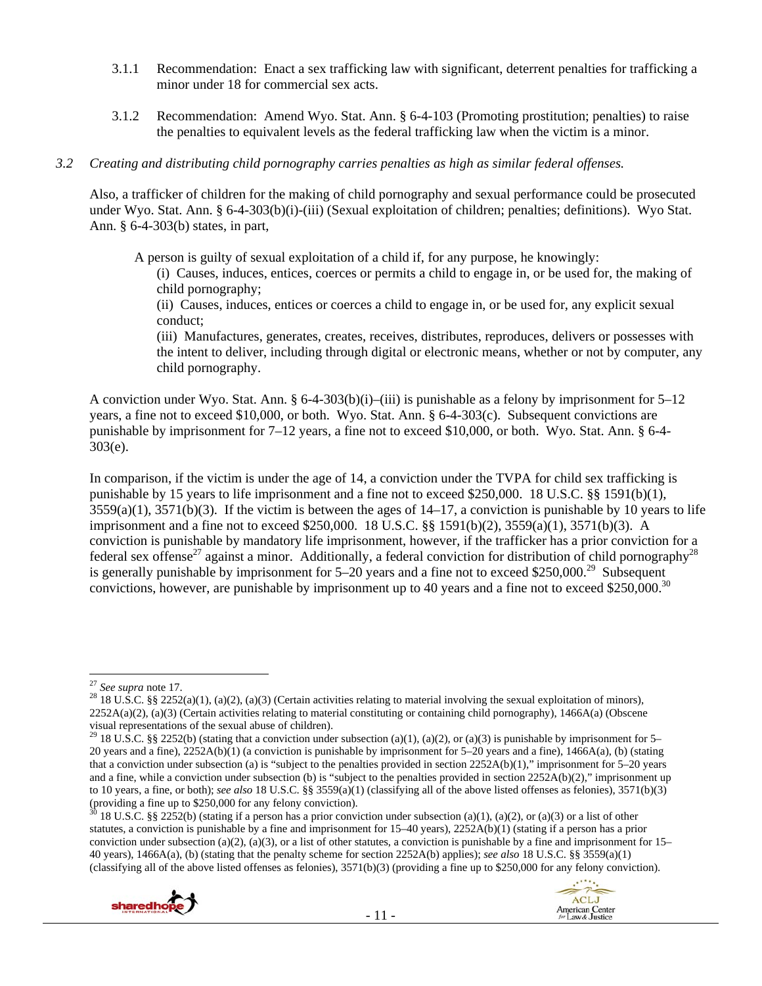- 3.1.1 Recommendation: Enact a sex trafficking law with significant, deterrent penalties for trafficking a minor under 18 for commercial sex acts.
- 3.1.2 Recommendation: Amend Wyo. Stat. Ann. § 6-4-103 (Promoting prostitution; penalties) to raise the penalties to equivalent levels as the federal trafficking law when the victim is a minor.

#### *3.2 Creating and distributing child pornography carries penalties as high as similar federal offenses.*

Also, a trafficker of children for the making of child pornography and sexual performance could be prosecuted under Wyo. Stat. Ann. § 6-4-303(b)(i)-(iii) (Sexual exploitation of children; penalties; definitions). Wyo Stat. Ann. § 6-4-303(b) states, in part,

A person is guilty of sexual exploitation of a child if, for any purpose, he knowingly:

(i) Causes, induces, entices, coerces or permits a child to engage in, or be used for, the making of child pornography;

(ii) Causes, induces, entices or coerces a child to engage in, or be used for, any explicit sexual conduct;

(iii) Manufactures, generates, creates, receives, distributes, reproduces, delivers or possesses with the intent to deliver, including through digital or electronic means, whether or not by computer, any child pornography.

A conviction under Wyo. Stat. Ann. § 6-4-303(b)(i)–(iii) is punishable as a felony by imprisonment for  $5-12$ years, a fine not to exceed \$10,000, or both. Wyo. Stat. Ann. § 6-4-303(c). Subsequent convictions are punishable by imprisonment for 7–12 years, a fine not to exceed \$10,000, or both. Wyo. Stat. Ann. § 6-4- 303(e).

In comparison, if the victim is under the age of 14, a conviction under the TVPA for child sex trafficking is punishable by 15 years to life imprisonment and a fine not to exceed \$250,000. 18 U.S.C. §§ 1591(b)(1),  $3559(a)(1)$ ,  $3571(b)(3)$ . If the victim is between the ages of  $14-17$ , a conviction is punishable by 10 years to life imprisonment and a fine not to exceed \$250,000. 18 U.S.C. §§ 1591(b)(2), 3559(a)(1), 3571(b)(3). A conviction is punishable by mandatory life imprisonment, however, if the trafficker has a prior conviction for a federal sex offense<sup>27</sup> against a minor. Additionally, a federal conviction for distribution of child pornography<sup>28</sup> is generally punishable by imprisonment for  $5-20$  years and a fine not to exceed \$250,000.<sup>29</sup> Subsequent convictions, however, are punishable by imprisonment up to 40 years and a fine not to exceed \$250,000.<sup>30</sup>

<sup>18</sup> U.S.C. §§ 2252(b) (stating if a person has a prior conviction under subsection (a)(1), (a)(2), or (a)(3) or a list of other statutes, a conviction is punishable by a fine and imprisonment for 15–40 years), 2252A(b)(1) (stating if a person has a prior conviction under subsection (a)(2), (a)(3), or a list of other statutes, a conviction is punishable by a fine and imprisonment for  $15-$ 40 years), 1466A(a), (b) (stating that the penalty scheme for section 2252A(b) applies); *see also* 18 U.S.C. §§ 3559(a)(1) (classifying all of the above listed offenses as felonies), 3571(b)(3) (providing a fine up to \$250,000 for any felony conviction).





<sup>&</sup>lt;sup>27</sup> *See supra* note 17.<br><sup>28</sup> 18 U.S.C. §§ 2252(a)(1), (a)(2), (a)(3) (Certain activities relating to material involving the sexual exploitation of minors),  $2252A(a)(2)$ , (a)(3) (Certain activities relating to material constituting or containing child pornography), 1466A(a) (Obscene visual representations of the sexual abuse of children).

<sup>&</sup>lt;sup>29</sup> 18 U.S.C. §§ 2252(b) (stating that a conviction under subsection (a)(1), (a)(2), or (a)(3) is punishable by imprisonment for 5– 20 years and a fine), 2252A(b)(1) (a conviction is punishable by imprisonment for 5–20 years and a fine), 1466A(a), (b) (stating that a conviction under subsection (a) is "subject to the penalties provided in section 2252A(b)(1)," imprisonment for 5–20 years and a fine, while a conviction under subsection (b) is "subject to the penalties provided in section 2252A(b)(2)," imprisonment up to 10 years, a fine, or both); *see also* 18 U.S.C. §§ 3559(a)(1) (classifying all of the above listed offenses as felonies), 3571(b)(3) (providing a fine up to \$250,000 for any felony conviction).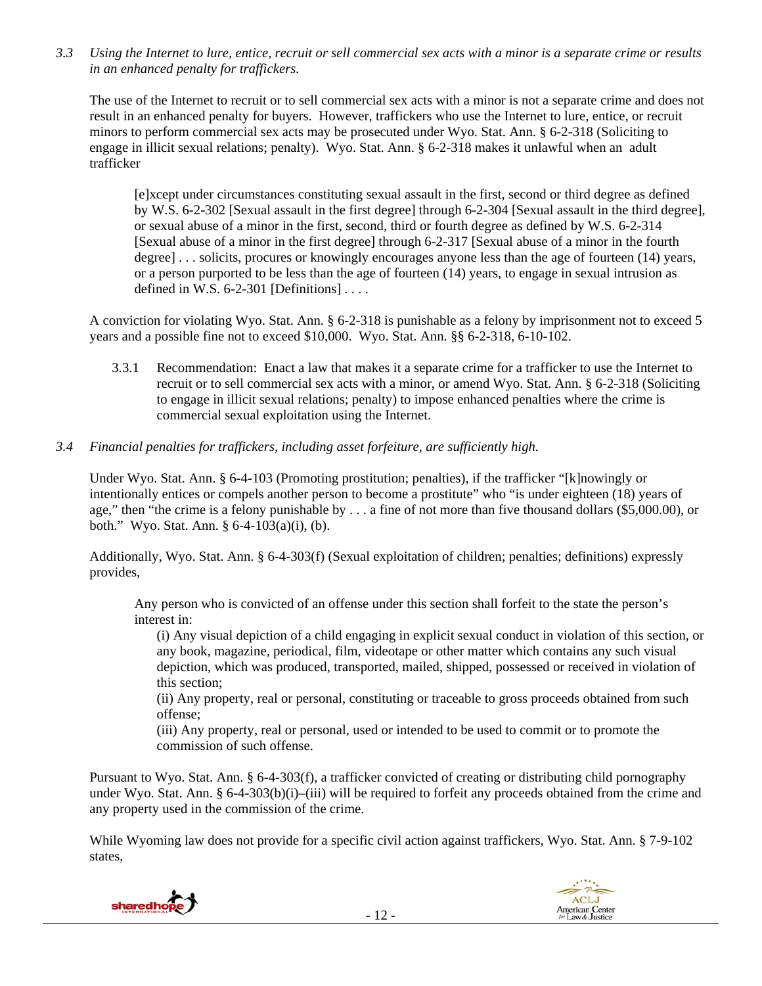*3.3 Using the Internet to lure, entice, recruit or sell commercial sex acts with a minor is a separate crime or results in an enhanced penalty for traffickers.* 

The use of the Internet to recruit or to sell commercial sex acts with a minor is not a separate crime and does not result in an enhanced penalty for buyers. However, traffickers who use the Internet to lure, entice, or recruit minors to perform commercial sex acts may be prosecuted under Wyo. Stat. Ann. § 6-2-318 (Soliciting to engage in illicit sexual relations; penalty). Wyo. Stat. Ann. § 6-2-318 makes it unlawful when an adult trafficker

[e]xcept under circumstances constituting sexual assault in the first, second or third degree as defined by W.S. 6-2-302 [Sexual assault in the first degree] through 6-2-304 [Sexual assault in the third degree], or sexual abuse of a minor in the first, second, third or fourth degree as defined by W.S. 6-2-314 [Sexual abuse of a minor in the first degree] through 6-2-317 [Sexual abuse of a minor in the fourth degree] . . . solicits, procures or knowingly encourages anyone less than the age of fourteen (14) years, or a person purported to be less than the age of fourteen (14) years, to engage in sexual intrusion as defined in W.S.  $6-2-301$  [Definitions] ...

A conviction for violating Wyo. Stat. Ann. § 6-2-318 is punishable as a felony by imprisonment not to exceed 5 years and a possible fine not to exceed \$10,000. Wyo. Stat. Ann. §§ 6-2-318, 6-10-102.

- 3.3.1 Recommendation: Enact a law that makes it a separate crime for a trafficker to use the Internet to recruit or to sell commercial sex acts with a minor, or amend Wyo. Stat. Ann. § 6-2-318 (Soliciting to engage in illicit sexual relations; penalty) to impose enhanced penalties where the crime is commercial sexual exploitation using the Internet.
- *3.4 Financial penalties for traffickers, including asset forfeiture, are sufficiently high.*

Under Wyo. Stat. Ann. § 6-4-103 (Promoting prostitution; penalties), if the trafficker "[k]nowingly or intentionally entices or compels another person to become a prostitute" who "is under eighteen (18) years of age," then "the crime is a felony punishable by . . . a fine of not more than five thousand dollars (\$5,000.00), or both." Wyo. Stat. Ann. § 6-4-103(a)(i), (b).

Additionally, Wyo. Stat. Ann. § 6-4-303(f) (Sexual exploitation of children; penalties; definitions) expressly provides,

Any person who is convicted of an offense under this section shall forfeit to the state the person's interest in:

(i) Any visual depiction of a child engaging in explicit sexual conduct in violation of this section, or any book, magazine, periodical, film, videotape or other matter which contains any such visual depiction, which was produced, transported, mailed, shipped, possessed or received in violation of this section;

(ii) Any property, real or personal, constituting or traceable to gross proceeds obtained from such offense;

(iii) Any property, real or personal, used or intended to be used to commit or to promote the commission of such offense.

Pursuant to Wyo. Stat. Ann. § 6-4-303(f), a trafficker convicted of creating or distributing child pornography under Wyo. Stat. Ann. § 6-4-303(b)(i)–(iii) will be required to forfeit any proceeds obtained from the crime and any property used in the commission of the crime.

While Wyoming law does not provide for a specific civil action against traffickers, Wyo. Stat. Ann. § 7-9-102 states,



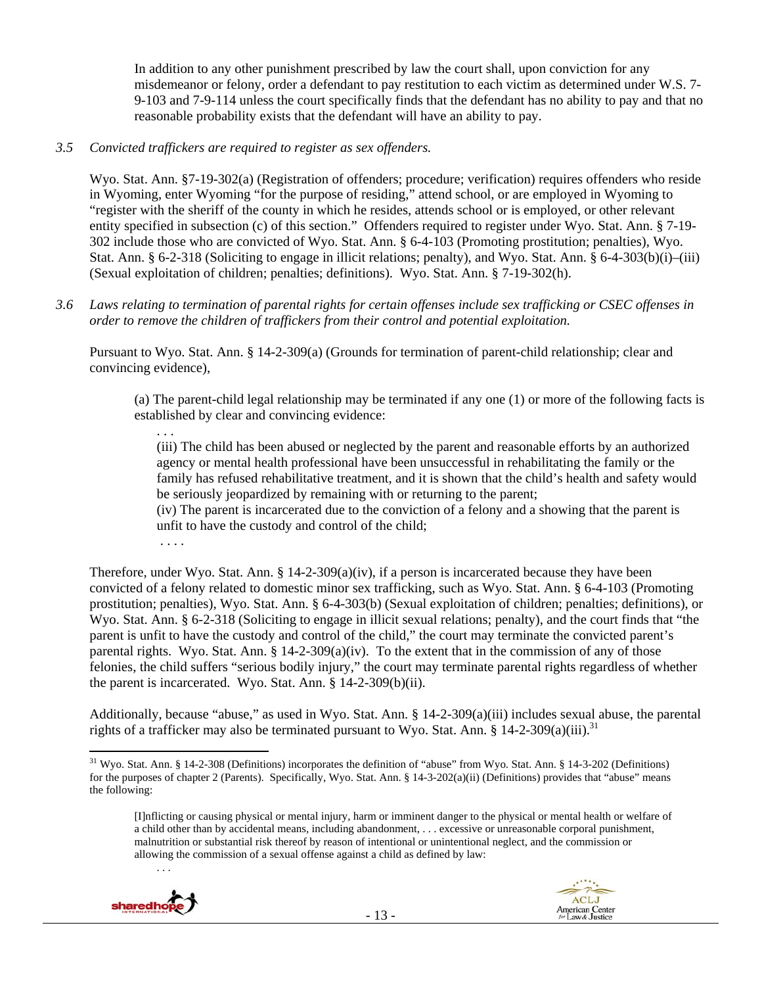In addition to any other punishment prescribed by law the court shall, upon conviction for any misdemeanor or felony, order a defendant to pay restitution to each victim as determined under W.S. 7- 9-103 and 7-9-114 unless the court specifically finds that the defendant has no ability to pay and that no reasonable probability exists that the defendant will have an ability to pay.

## *3.5 Convicted traffickers are required to register as sex offenders.*

Wyo. Stat. Ann. §7-19-302(a) (Registration of offenders; procedure; verification) requires offenders who reside in Wyoming, enter Wyoming "for the purpose of residing," attend school, or are employed in Wyoming to "register with the sheriff of the county in which he resides, attends school or is employed, or other relevant entity specified in subsection (c) of this section." Offenders required to register under Wyo. Stat. Ann. § 7-19- 302 include those who are convicted of Wyo. Stat. Ann. § 6-4-103 (Promoting prostitution; penalties), Wyo. Stat. Ann. § 6-2-318 (Soliciting to engage in illicit relations; penalty), and Wyo. Stat. Ann. § 6-4-303(b)(i)–(iii) (Sexual exploitation of children; penalties; definitions). Wyo. Stat. Ann. § 7-19-302(h).

*3.6 Laws relating to termination of parental rights for certain offenses include sex trafficking or CSEC offenses in order to remove the children of traffickers from their control and potential exploitation.* 

Pursuant to Wyo. Stat. Ann. § 14-2-309(a) (Grounds for termination of parent-child relationship; clear and convincing evidence),

(a) The parent-child legal relationship may be terminated if any one (1) or more of the following facts is established by clear and convincing evidence:

. . . (iii) The child has been abused or neglected by the parent and reasonable efforts by an authorized agency or mental health professional have been unsuccessful in rehabilitating the family or the family has refused rehabilitative treatment, and it is shown that the child's health and safety would be seriously jeopardized by remaining with or returning to the parent;

(iv) The parent is incarcerated due to the conviction of a felony and a showing that the parent is unfit to have the custody and control of the child;

. . . .

Therefore, under Wyo. Stat. Ann.  $\S 14$ -2-309(a)(iv), if a person is incarcerated because they have been convicted of a felony related to domestic minor sex trafficking, such as Wyo. Stat. Ann. § 6-4-103 (Promoting prostitution; penalties), Wyo. Stat. Ann. § 6-4-303(b) (Sexual exploitation of children; penalties; definitions), or Wyo. Stat. Ann. § 6-2-318 (Soliciting to engage in illicit sexual relations; penalty), and the court finds that "the parent is unfit to have the custody and control of the child," the court may terminate the convicted parent's parental rights. Wyo. Stat. Ann. § 14-2-309(a)(iv). To the extent that in the commission of any of those felonies, the child suffers "serious bodily injury," the court may terminate parental rights regardless of whether the parent is incarcerated. Wyo. Stat. Ann. § 14-2-309(b)(ii).

Additionally, because "abuse," as used in Wyo. Stat. Ann. § 14-2-309(a)(iii) includes sexual abuse, the parental rights of a trafficker may also be terminated pursuant to Wyo. Stat. Ann. § 14-2-309(a)(iii).<sup>31</sup>

<sup>[</sup>I]nflicting or causing physical or mental injury, harm or imminent danger to the physical or mental health or welfare of a child other than by accidental means, including abandonment, . . . excessive or unreasonable corporal punishment, malnutrition or substantial risk thereof by reason of intentional or unintentional neglect, and the commission or allowing the commission of a sexual offense against a child as defined by law:



. . .



<sup>&</sup>lt;sup>31</sup> Wyo. Stat. Ann. § 14-2-308 (Definitions) incorporates the definition of "abuse" from Wyo. Stat. Ann. § 14-3-202 (Definitions) for the purposes of chapter 2 (Parents). Specifically, Wyo. Stat. Ann. § 14-3-202(a)(ii) (Definitions) provides that "abuse" means the following: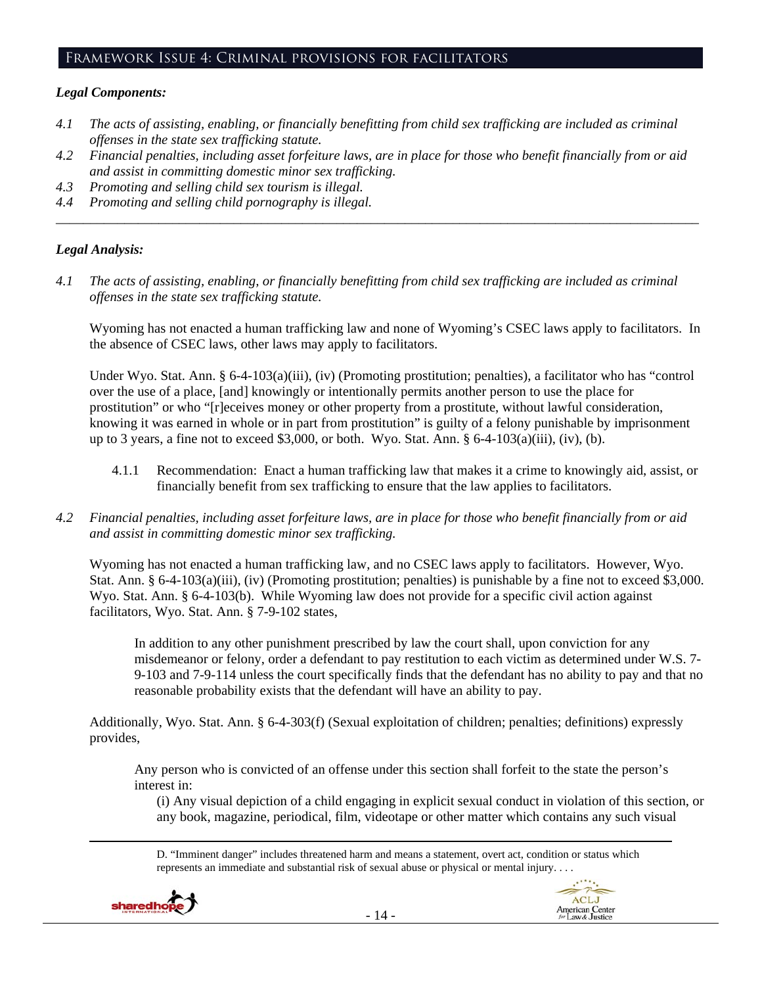#### Framework Issue 4: Criminal provisions for facilitators

## *Legal Components:*

- *4.1 The acts of assisting, enabling, or financially benefitting from child sex trafficking are included as criminal offenses in the state sex trafficking statute.*
- *4.2 Financial penalties, including asset forfeiture laws, are in place for those who benefit financially from or aid and assist in committing domestic minor sex trafficking.*

*\_\_\_\_\_\_\_\_\_\_\_\_\_\_\_\_\_\_\_\_\_\_\_\_\_\_\_\_\_\_\_\_\_\_\_\_\_\_\_\_\_\_\_\_\_\_\_\_\_\_\_\_\_\_\_\_\_\_\_\_\_\_\_\_\_\_\_\_\_\_\_\_\_\_\_\_\_\_\_\_\_\_\_\_\_\_\_\_\_\_\_\_\_\_* 

- *4.3 Promoting and selling child sex tourism is illegal.*
- *4.4 Promoting and selling child pornography is illegal.*

#### *Legal Analysis:*

*4.1 The acts of assisting, enabling, or financially benefitting from child sex trafficking are included as criminal offenses in the state sex trafficking statute.* 

Wyoming has not enacted a human trafficking law and none of Wyoming's CSEC laws apply to facilitators. In the absence of CSEC laws, other laws may apply to facilitators.

Under Wyo. Stat. Ann. § 6-4-103(a)(iii), (iv) (Promoting prostitution; penalties), a facilitator who has "control over the use of a place, [and] knowingly or intentionally permits another person to use the place for prostitution" or who "[r]eceives money or other property from a prostitute, without lawful consideration, knowing it was earned in whole or in part from prostitution" is guilty of a felony punishable by imprisonment up to 3 years, a fine not to exceed \$3,000, or both. Wyo. Stat. Ann. § 6-4-103(a)(iii), (iv), (b).

- 4.1.1 Recommendation: Enact a human trafficking law that makes it a crime to knowingly aid, assist, or financially benefit from sex trafficking to ensure that the law applies to facilitators.
- *4.2 Financial penalties, including asset forfeiture laws, are in place for those who benefit financially from or aid and assist in committing domestic minor sex trafficking.*

Wyoming has not enacted a human trafficking law, and no CSEC laws apply to facilitators. However, Wyo. Stat. Ann. § 6-4-103(a)(iii), (iv) (Promoting prostitution; penalties) is punishable by a fine not to exceed \$3,000. Wyo. Stat. Ann. § 6-4-103(b). While Wyoming law does not provide for a specific civil action against facilitators, Wyo. Stat. Ann. § 7-9-102 states,

In addition to any other punishment prescribed by law the court shall, upon conviction for any misdemeanor or felony, order a defendant to pay restitution to each victim as determined under W.S. 7- 9-103 and 7-9-114 unless the court specifically finds that the defendant has no ability to pay and that no reasonable probability exists that the defendant will have an ability to pay.

Additionally, Wyo. Stat. Ann. § 6-4-303(f) (Sexual exploitation of children; penalties; definitions) expressly provides,

Any person who is convicted of an offense under this section shall forfeit to the state the person's interest in:

(i) Any visual depiction of a child engaging in explicit sexual conduct in violation of this section, or any book, magazine, periodical, film, videotape or other matter which contains any such visual

D. "Imminent danger" includes threatened harm and means a statement, overt act, condition or status which represents an immediate and substantial risk of sexual abuse or physical or mental injury. . . .



<u> Andrewski politika (za obrazu za obrazu za obrazu za obrazu za obrazu za obrazu za obrazu za obrazu za obrazu</u>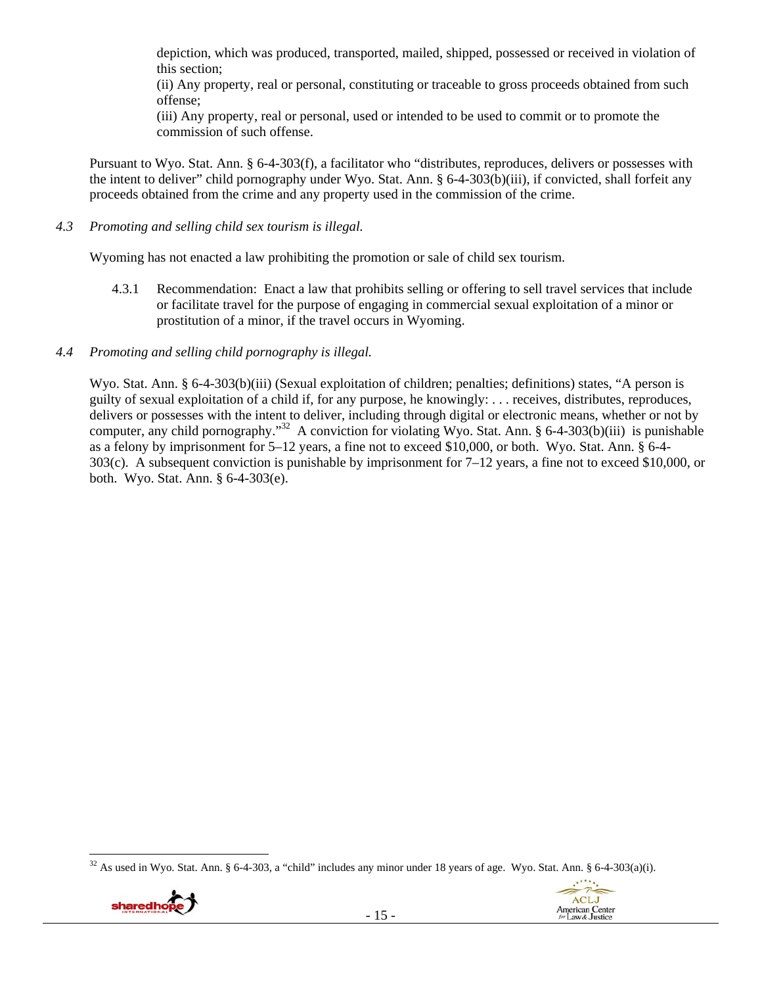depiction, which was produced, transported, mailed, shipped, possessed or received in violation of this section;

(ii) Any property, real or personal, constituting or traceable to gross proceeds obtained from such offense;

(iii) Any property, real or personal, used or intended to be used to commit or to promote the commission of such offense.

Pursuant to Wyo. Stat. Ann. § 6-4-303(f), a facilitator who "distributes, reproduces, delivers or possesses with the intent to deliver" child pornography under Wyo. Stat. Ann. § 6-4-303(b)(iii), if convicted, shall forfeit any proceeds obtained from the crime and any property used in the commission of the crime.

*4.3 Promoting and selling child sex tourism is illegal.* 

Wyoming has not enacted a law prohibiting the promotion or sale of child sex tourism.

- 4.3.1 Recommendation: Enact a law that prohibits selling or offering to sell travel services that include or facilitate travel for the purpose of engaging in commercial sexual exploitation of a minor or prostitution of a minor, if the travel occurs in Wyoming.
- *4.4 Promoting and selling child pornography is illegal.*

Wyo. Stat. Ann. § 6-4-303(b)(iii) (Sexual exploitation of children; penalties; definitions) states, "A person is guilty of sexual exploitation of a child if, for any purpose, he knowingly: . . . receives, distributes, reproduces, delivers or possesses with the intent to deliver, including through digital or electronic means, whether or not by computer, any child pornography."<sup>32</sup> A conviction for violating Wyo. Stat. Ann. § 6-4-303(b)(iii) is punishable as a felony by imprisonment for 5–12 years, a fine not to exceed \$10,000, or both. Wyo. Stat. Ann. § 6-4- 303(c). A subsequent conviction is punishable by imprisonment for 7–12 years, a fine not to exceed \$10,000, or both. Wyo. Stat. Ann. § 6-4-303(e).

 $32$  As used in Wyo. Stat. Ann. § 6-4-303, a "child" includes any minor under 18 years of age. Wyo. Stat. Ann. § 6-4-303(a)(i).



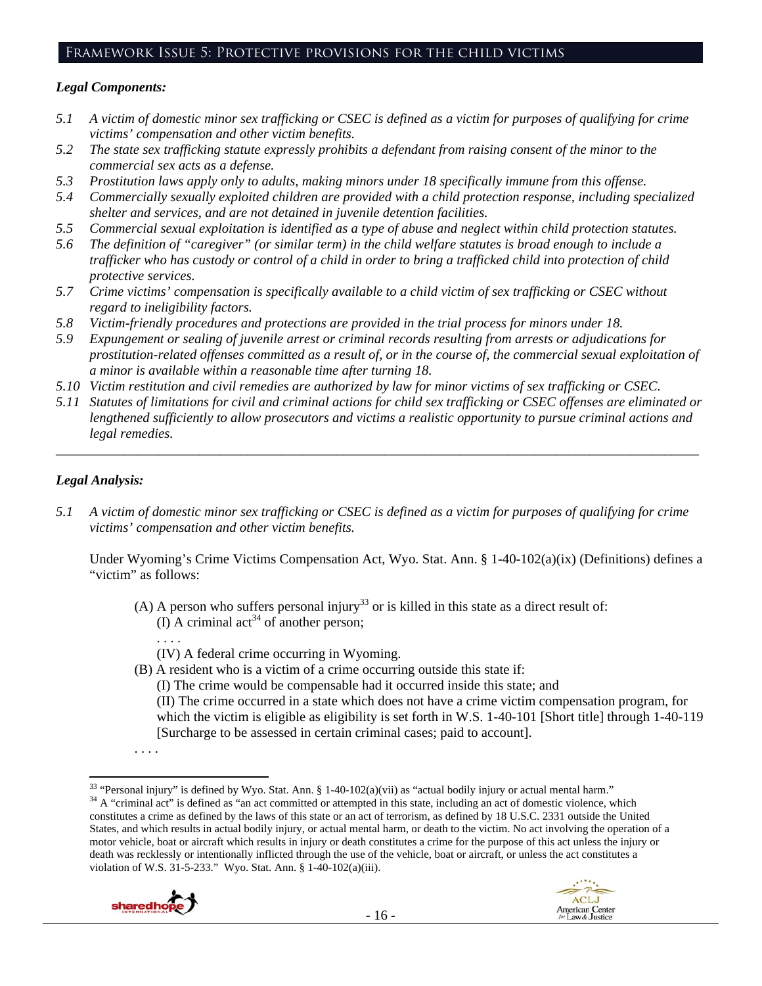## Framework Issue 5: Protective provisions for the child victims

## *Legal Components:*

- *5.1 A victim of domestic minor sex trafficking or CSEC is defined as a victim for purposes of qualifying for crime victims' compensation and other victim benefits.*
- *5.2 The state sex trafficking statute expressly prohibits a defendant from raising consent of the minor to the commercial sex acts as a defense.*
- *5.3 Prostitution laws apply only to adults, making minors under 18 specifically immune from this offense.*
- *5.4 Commercially sexually exploited children are provided with a child protection response, including specialized shelter and services, and are not detained in juvenile detention facilities.*
- *5.5 Commercial sexual exploitation is identified as a type of abuse and neglect within child protection statutes.*
- *5.6 The definition of "caregiver" (or similar term) in the child welfare statutes is broad enough to include a trafficker who has custody or control of a child in order to bring a trafficked child into protection of child protective services.*
- *5.7 Crime victims' compensation is specifically available to a child victim of sex trafficking or CSEC without regard to ineligibility factors.*
- *5.8 Victim-friendly procedures and protections are provided in the trial process for minors under 18.*
- *5.9 Expungement or sealing of juvenile arrest or criminal records resulting from arrests or adjudications for prostitution-related offenses committed as a result of, or in the course of, the commercial sexual exploitation of a minor is available within a reasonable time after turning 18.*
- *5.10 Victim restitution and civil remedies are authorized by law for minor victims of sex trafficking or CSEC.*
- *5.11 Statutes of limitations for civil and criminal actions for child sex trafficking or CSEC offenses are eliminated or lengthened sufficiently to allow prosecutors and victims a realistic opportunity to pursue criminal actions and legal remedies.*

*\_\_\_\_\_\_\_\_\_\_\_\_\_\_\_\_\_\_\_\_\_\_\_\_\_\_\_\_\_\_\_\_\_\_\_\_\_\_\_\_\_\_\_\_\_\_\_\_\_\_\_\_\_\_\_\_\_\_\_\_\_\_\_\_\_\_\_\_\_\_\_\_\_\_\_\_\_\_\_\_\_\_\_\_\_\_\_\_\_\_\_\_\_\_* 

## *Legal Analysis:*

*5.1 A victim of domestic minor sex trafficking or CSEC is defined as a victim for purposes of qualifying for crime victims' compensation and other victim benefits.* 

Under Wyoming's Crime Victims Compensation Act, Wyo. Stat. Ann. § 1-40-102(a)(ix) (Definitions) defines a "victim" as follows:

- (A) A person who suffers personal injury<sup>33</sup> or is killed in this state as a direct result of: (I) A criminal act<sup>34</sup> of another person;
	- . . . .

(IV) A federal crime occurring in Wyoming.

(B) A resident who is a victim of a crime occurring outside this state if:

(I) The crime would be compensable had it occurred inside this state; and (II) The crime occurred in a state which does not have a crime victim compensation program, for which the victim is eligible as eligibility is set forth in W.S. 1-40-101 [Short title] through 1-40-119

[Surcharge to be assessed in certain criminal cases; paid to account].

constitutes a crime as defined by the laws of this state or an act of terrorism, as defined by 18 U.S.C. 2331 outside the United States, and which results in actual bodily injury, or actual mental harm, or death to the victim. No act involving the operation of a motor vehicle, boat or aircraft which results in injury or death constitutes a crime for the purpose of this act unless the injury or death was recklessly or intentionally inflicted through the use of the vehicle, boat or aircraft, or unless the act constitutes a violation of W.S. 31-5-233." Wyo. Stat. Ann. § 1-40-102(a)(iii).





<sup>. . . .</sup> 

 <sup>33</sup> "Personal injury" is defined by Wyo. Stat. Ann. § 1-40-102(a)(vii) as "actual bodily injury or actual mental harm."<br><sup>34</sup> A "criminal act" is defined as "an act committed or attempted in this state, including an act o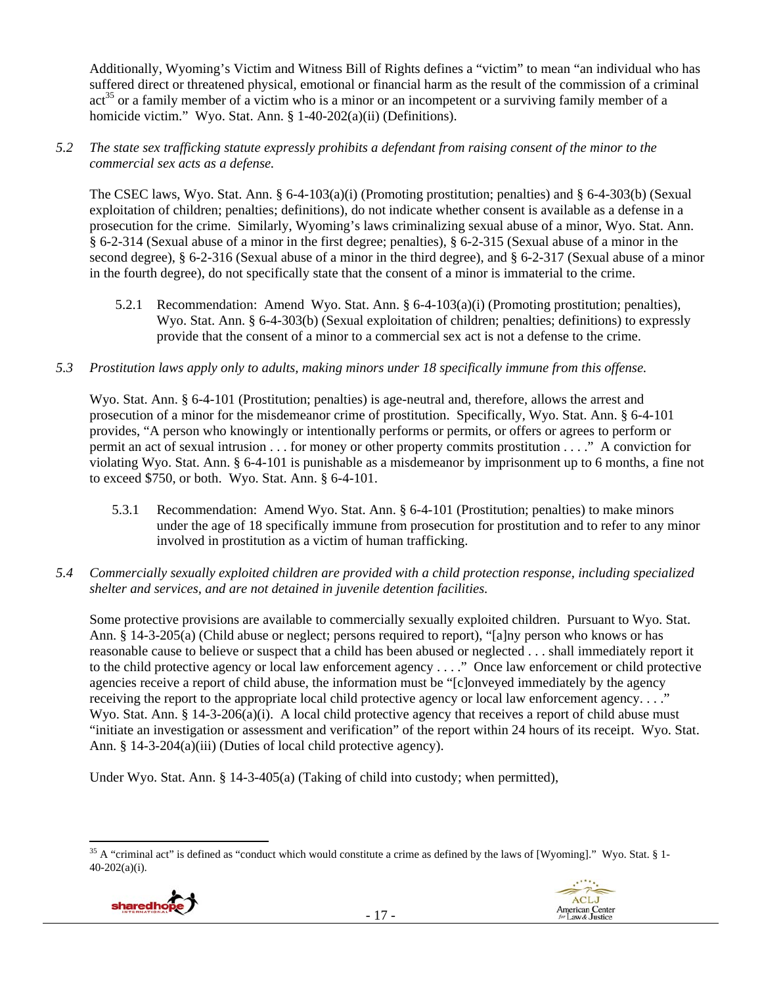Additionally, Wyoming's Victim and Witness Bill of Rights defines a "victim" to mean "an individual who has suffered direct or threatened physical, emotional or financial harm as the result of the commission of a criminal  $\arctan^{35}$  or a family member of a victim who is a minor or an incompetent or a surviving family member of a homicide victim." Wyo. Stat. Ann. § 1-40-202(a)(ii) (Definitions).

## *5.2 The state sex trafficking statute expressly prohibits a defendant from raising consent of the minor to the commercial sex acts as a defense.*

The CSEC laws, Wyo. Stat. Ann. § 6-4-103(a)(i) (Promoting prostitution; penalties) and § 6-4-303(b) (Sexual exploitation of children; penalties; definitions), do not indicate whether consent is available as a defense in a prosecution for the crime. Similarly, Wyoming's laws criminalizing sexual abuse of a minor, Wyo. Stat. Ann. § 6-2-314 (Sexual abuse of a minor in the first degree; penalties), § 6-2-315 (Sexual abuse of a minor in the second degree), § 6-2-316 (Sexual abuse of a minor in the third degree), and § 6-2-317 (Sexual abuse of a minor in the fourth degree), do not specifically state that the consent of a minor is immaterial to the crime.

- 5.2.1 Recommendation: Amend Wyo. Stat. Ann. § 6-4-103(a)(i) (Promoting prostitution; penalties), Wyo. Stat. Ann. § 6-4-303(b) (Sexual exploitation of children; penalties; definitions) to expressly provide that the consent of a minor to a commercial sex act is not a defense to the crime.
- *5.3 Prostitution laws apply only to adults, making minors under 18 specifically immune from this offense.*

Wyo. Stat. Ann. § 6-4-101 (Prostitution; penalties) is age-neutral and, therefore, allows the arrest and prosecution of a minor for the misdemeanor crime of prostitution. Specifically, Wyo. Stat. Ann. § 6-4-101 provides, "A person who knowingly or intentionally performs or permits, or offers or agrees to perform or permit an act of sexual intrusion . . . for money or other property commits prostitution . . . ." A conviction for violating Wyo. Stat. Ann. § 6-4-101 is punishable as a misdemeanor by imprisonment up to 6 months, a fine not to exceed \$750, or both. Wyo. Stat. Ann. § 6-4-101.

- 5.3.1 Recommendation: Amend Wyo. Stat. Ann. § 6-4-101 (Prostitution; penalties) to make minors under the age of 18 specifically immune from prosecution for prostitution and to refer to any minor involved in prostitution as a victim of human trafficking.
- *5.4 Commercially sexually exploited children are provided with a child protection response, including specialized shelter and services, and are not detained in juvenile detention facilities.*

Some protective provisions are available to commercially sexually exploited children. Pursuant to Wyo. Stat. Ann. § 14-3-205(a) (Child abuse or neglect; persons required to report), "[a]ny person who knows or has reasonable cause to believe or suspect that a child has been abused or neglected . . . shall immediately report it to the child protective agency or local law enforcement agency . . . ." Once law enforcement or child protective agencies receive a report of child abuse, the information must be "[c]onveyed immediately by the agency receiving the report to the appropriate local child protective agency or local law enforcement agency. . . ." Wyo. Stat. Ann. § 14-3-206(a)(i). A local child protective agency that receives a report of child abuse must "initiate an investigation or assessment and verification" of the report within 24 hours of its receipt. Wyo. Stat. Ann. § 14-3-204(a)(iii) (Duties of local child protective agency).

Under Wyo. Stat. Ann. § 14-3-405(a) (Taking of child into custody; when permitted),

 <sup>35</sup> A "criminal act" is defined as "conduct which would constitute a crime as defined by the laws of [Wyoming]." Wyo. Stat. § 1-40-202(a)(i).



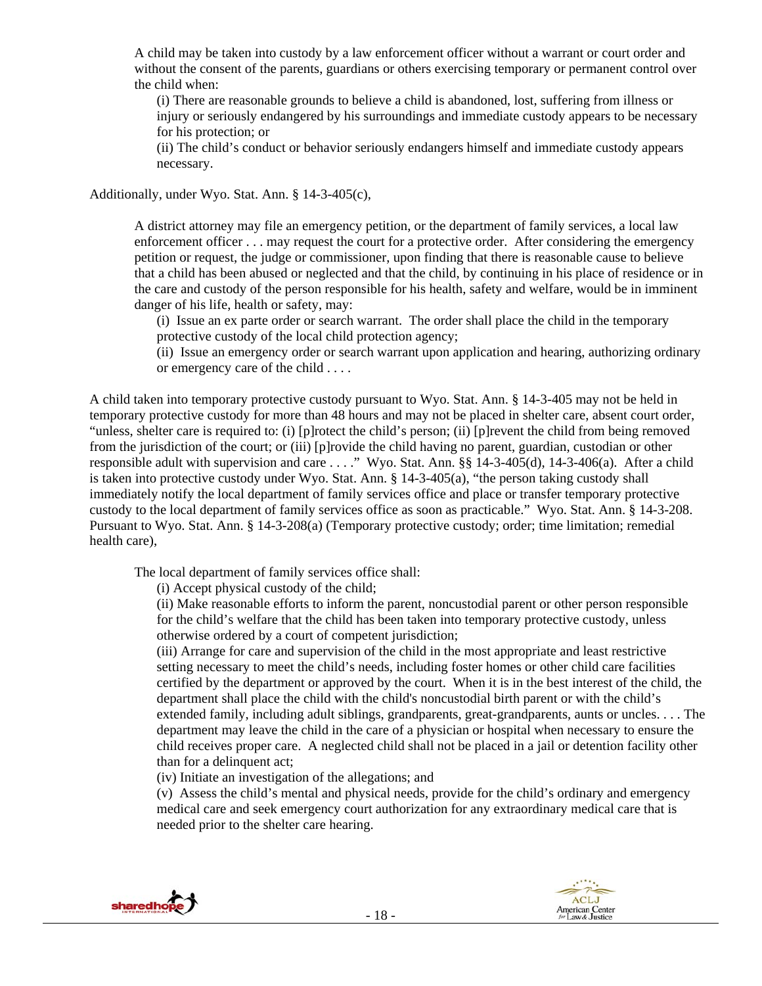A child may be taken into custody by a law enforcement officer without a warrant or court order and without the consent of the parents, guardians or others exercising temporary or permanent control over the child when:

(i) There are reasonable grounds to believe a child is abandoned, lost, suffering from illness or injury or seriously endangered by his surroundings and immediate custody appears to be necessary for his protection; or

(ii) The child's conduct or behavior seriously endangers himself and immediate custody appears necessary.

Additionally, under Wyo. Stat. Ann. § 14-3-405(c),

A district attorney may file an emergency petition, or the department of family services, a local law enforcement officer . . . may request the court for a protective order. After considering the emergency petition or request, the judge or commissioner, upon finding that there is reasonable cause to believe that a child has been abused or neglected and that the child, by continuing in his place of residence or in the care and custody of the person responsible for his health, safety and welfare, would be in imminent danger of his life, health or safety, may:

(i) Issue an ex parte order or search warrant. The order shall place the child in the temporary protective custody of the local child protection agency;

(ii) Issue an emergency order or search warrant upon application and hearing, authorizing ordinary or emergency care of the child . . . .

A child taken into temporary protective custody pursuant to Wyo. Stat. Ann. § 14-3-405 may not be held in temporary protective custody for more than 48 hours and may not be placed in shelter care, absent court order, "unless, shelter care is required to: (i) [p]rotect the child's person; (ii) [p]revent the child from being removed from the jurisdiction of the court; or (iii) [p]rovide the child having no parent, guardian, custodian or other responsible adult with supervision and care . . . ." Wyo. Stat. Ann. §§ 14-3-405(d), 14-3-406(a). After a child is taken into protective custody under Wyo. Stat. Ann.  $\S$  14-3-405(a), "the person taking custody shall immediately notify the local department of family services office and place or transfer temporary protective custody to the local department of family services office as soon as practicable." Wyo. Stat. Ann. § 14-3-208. Pursuant to Wyo. Stat. Ann. § 14-3-208(a) (Temporary protective custody; order; time limitation; remedial health care),

The local department of family services office shall:

(i) Accept physical custody of the child;

(ii) Make reasonable efforts to inform the parent, noncustodial parent or other person responsible for the child's welfare that the child has been taken into temporary protective custody, unless otherwise ordered by a court of competent jurisdiction;

(iii) Arrange for care and supervision of the child in the most appropriate and least restrictive setting necessary to meet the child's needs, including foster homes or other child care facilities certified by the department or approved by the court. When it is in the best interest of the child, the department shall place the child with the child's noncustodial birth parent or with the child's extended family, including adult siblings, grandparents, great-grandparents, aunts or uncles. . . . The department may leave the child in the care of a physician or hospital when necessary to ensure the child receives proper care. A neglected child shall not be placed in a jail or detention facility other than for a delinquent act;

(iv) Initiate an investigation of the allegations; and

(v) Assess the child's mental and physical needs, provide for the child's ordinary and emergency medical care and seek emergency court authorization for any extraordinary medical care that is needed prior to the shelter care hearing.



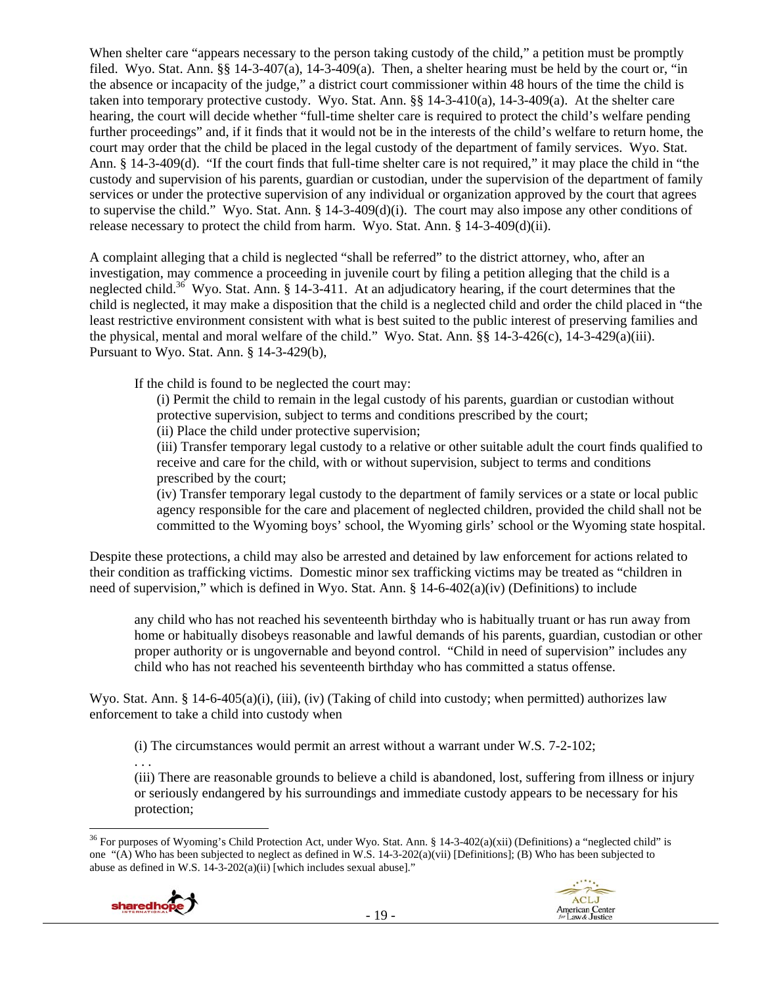When shelter care "appears necessary to the person taking custody of the child," a petition must be promptly filed. Wyo. Stat. Ann. §§ 14-3-407(a), 14-3-409(a). Then, a shelter hearing must be held by the court or, "in the absence or incapacity of the judge," a district court commissioner within 48 hours of the time the child is taken into temporary protective custody. Wyo. Stat. Ann. §§ 14-3-410(a), 14-3-409(a). At the shelter care hearing, the court will decide whether "full-time shelter care is required to protect the child's welfare pending further proceedings" and, if it finds that it would not be in the interests of the child's welfare to return home, the court may order that the child be placed in the legal custody of the department of family services. Wyo. Stat. Ann. § 14-3-409(d). "If the court finds that full-time shelter care is not required," it may place the child in "the custody and supervision of his parents, guardian or custodian, under the supervision of the department of family services or under the protective supervision of any individual or organization approved by the court that agrees to supervise the child." Wyo. Stat. Ann.  $\S 14-3-409(d)(i)$ . The court may also impose any other conditions of release necessary to protect the child from harm. Wyo. Stat. Ann. § 14-3-409(d)(ii).

A complaint alleging that a child is neglected "shall be referred" to the district attorney, who, after an investigation, may commence a proceeding in juvenile court by filing a petition alleging that the child is a neglected child.<sup>36</sup> Wyo. Stat. Ann. § 14-3-411. At an adjudicatory hearing, if the court determines that the child is neglected, it may make a disposition that the child is a neglected child and order the child placed in "the least restrictive environment consistent with what is best suited to the public interest of preserving families and the physical, mental and moral welfare of the child." Wyo. Stat. Ann. §§ 14-3-426(c), 14-3-429(a)(iii). Pursuant to Wyo. Stat. Ann. § 14-3-429(b),

If the child is found to be neglected the court may:

(i) Permit the child to remain in the legal custody of his parents, guardian or custodian without protective supervision, subject to terms and conditions prescribed by the court;

(ii) Place the child under protective supervision;

(iii) Transfer temporary legal custody to a relative or other suitable adult the court finds qualified to receive and care for the child, with or without supervision, subject to terms and conditions prescribed by the court;

(iv) Transfer temporary legal custody to the department of family services or a state or local public agency responsible for the care and placement of neglected children, provided the child shall not be committed to the Wyoming boys' school, the Wyoming girls' school or the Wyoming state hospital.

Despite these protections, a child may also be arrested and detained by law enforcement for actions related to their condition as trafficking victims. Domestic minor sex trafficking victims may be treated as "children in need of supervision," which is defined in Wyo. Stat. Ann. § 14-6-402(a)(iv) (Definitions) to include

any child who has not reached his seventeenth birthday who is habitually truant or has run away from home or habitually disobeys reasonable and lawful demands of his parents, guardian, custodian or other proper authority or is ungovernable and beyond control. "Child in need of supervision" includes any child who has not reached his seventeenth birthday who has committed a status offense.

Wyo. Stat. Ann. § 14-6-405(a)(i), (iii), (iv) (Taking of child into custody; when permitted) authorizes law enforcement to take a child into custody when

(i) The circumstances would permit an arrest without a warrant under W.S. 7-2-102;

. . .

(iii) There are reasonable grounds to believe a child is abandoned, lost, suffering from illness or injury or seriously endangered by his surroundings and immediate custody appears to be necessary for his protection;

  $36$  For purposes of Wyoming's Child Protection Act, under Wyo. Stat. Ann. § 14-3-402(a)(xii) (Definitions) a "neglected child" is one "(A) Who has been subjected to neglect as defined in W.S. 14-3-202(a)(vii) [Definitions]; (B) Who has been subjected to abuse as defined in W.S. 14-3-202(a)(ii) [which includes sexual abuse]."



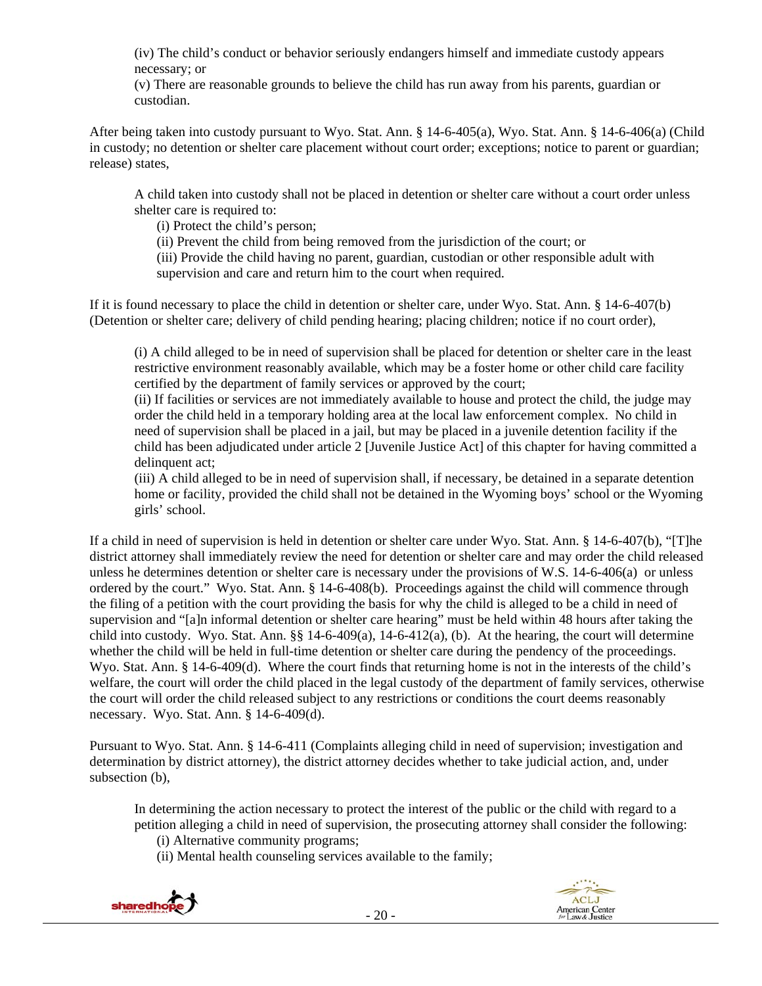(iv) The child's conduct or behavior seriously endangers himself and immediate custody appears necessary; or

(v) There are reasonable grounds to believe the child has run away from his parents, guardian or custodian.

After being taken into custody pursuant to Wyo. Stat. Ann. § 14-6-405(a), Wyo. Stat. Ann. § 14-6-406(a) (Child in custody; no detention or shelter care placement without court order; exceptions; notice to parent or guardian; release) states,

A child taken into custody shall not be placed in detention or shelter care without a court order unless shelter care is required to:

(i) Protect the child's person;

(ii) Prevent the child from being removed from the jurisdiction of the court; or

(iii) Provide the child having no parent, guardian, custodian or other responsible adult with supervision and care and return him to the court when required.

If it is found necessary to place the child in detention or shelter care, under Wyo. Stat. Ann. § 14-6-407(b) (Detention or shelter care; delivery of child pending hearing; placing children; notice if no court order),

(i) A child alleged to be in need of supervision shall be placed for detention or shelter care in the least restrictive environment reasonably available, which may be a foster home or other child care facility certified by the department of family services or approved by the court;

(ii) If facilities or services are not immediately available to house and protect the child, the judge may order the child held in a temporary holding area at the local law enforcement complex. No child in need of supervision shall be placed in a jail, but may be placed in a juvenile detention facility if the child has been adjudicated under article 2 [Juvenile Justice Act] of this chapter for having committed a delinquent act;

(iii) A child alleged to be in need of supervision shall, if necessary, be detained in a separate detention home or facility, provided the child shall not be detained in the Wyoming boys' school or the Wyoming girls' school.

If a child in need of supervision is held in detention or shelter care under Wyo. Stat. Ann. § 14-6-407(b), "[T]he district attorney shall immediately review the need for detention or shelter care and may order the child released unless he determines detention or shelter care is necessary under the provisions of W.S. 14-6-406(a) or unless ordered by the court." Wyo. Stat. Ann. § 14-6-408(b). Proceedings against the child will commence through the filing of a petition with the court providing the basis for why the child is alleged to be a child in need of supervision and "[a]n informal detention or shelter care hearing" must be held within 48 hours after taking the child into custody. Wyo. Stat. Ann.  $\S$  14-6-409(a), 14-6-412(a), (b). At the hearing, the court will determine whether the child will be held in full-time detention or shelter care during the pendency of the proceedings. Wyo. Stat. Ann. § 14-6-409(d). Where the court finds that returning home is not in the interests of the child's welfare, the court will order the child placed in the legal custody of the department of family services, otherwise the court will order the child released subject to any restrictions or conditions the court deems reasonably necessary. Wyo. Stat. Ann. § 14-6-409(d).

Pursuant to Wyo. Stat. Ann. § 14-6-411 (Complaints alleging child in need of supervision; investigation and determination by district attorney), the district attorney decides whether to take judicial action, and, under subsection (b),

In determining the action necessary to protect the interest of the public or the child with regard to a petition alleging a child in need of supervision, the prosecuting attorney shall consider the following:

(i) Alternative community programs;

(ii) Mental health counseling services available to the family;



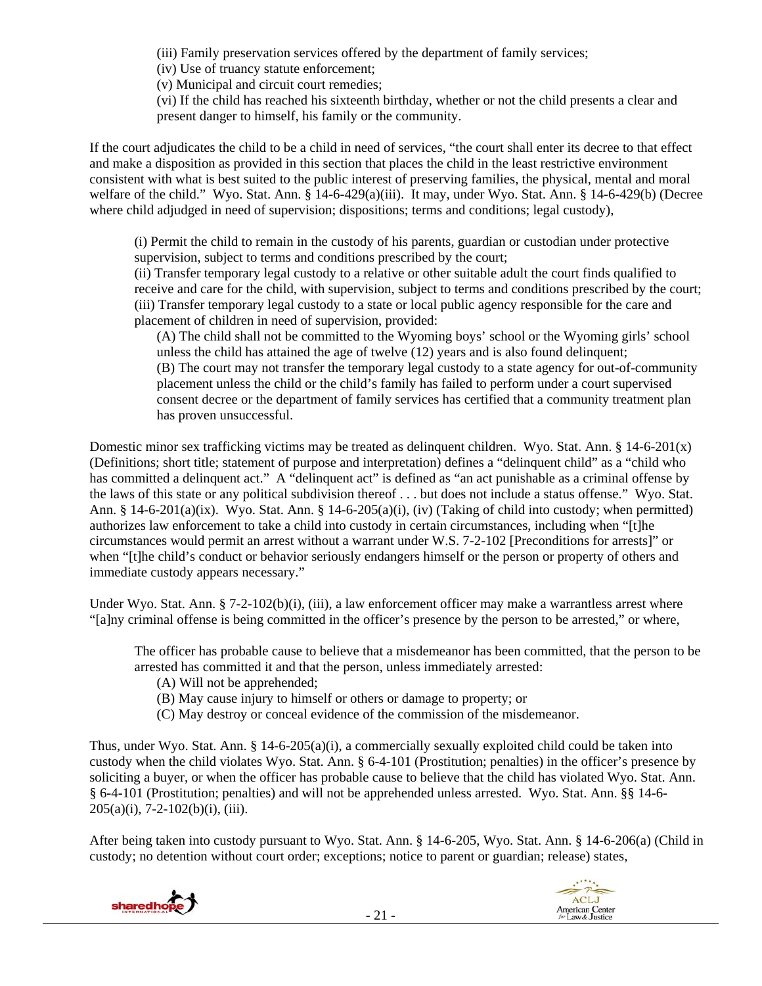(iii) Family preservation services offered by the department of family services;

(iv) Use of truancy statute enforcement;

(v) Municipal and circuit court remedies;

(vi) If the child has reached his sixteenth birthday, whether or not the child presents a clear and present danger to himself, his family or the community.

If the court adjudicates the child to be a child in need of services, "the court shall enter its decree to that effect and make a disposition as provided in this section that places the child in the least restrictive environment consistent with what is best suited to the public interest of preserving families, the physical, mental and moral welfare of the child." Wyo. Stat. Ann. § 14-6-429(a)(iii). It may, under Wyo. Stat. Ann. § 14-6-429(b) (Decree where child adjudged in need of supervision; dispositions; terms and conditions; legal custody),

(i) Permit the child to remain in the custody of his parents, guardian or custodian under protective supervision, subject to terms and conditions prescribed by the court;

(ii) Transfer temporary legal custody to a relative or other suitable adult the court finds qualified to receive and care for the child, with supervision, subject to terms and conditions prescribed by the court; (iii) Transfer temporary legal custody to a state or local public agency responsible for the care and placement of children in need of supervision, provided:

(A) The child shall not be committed to the Wyoming boys' school or the Wyoming girls' school unless the child has attained the age of twelve (12) years and is also found delinquent; (B) The court may not transfer the temporary legal custody to a state agency for out-of-community placement unless the child or the child's family has failed to perform under a court supervised consent decree or the department of family services has certified that a community treatment plan has proven unsuccessful.

Domestic minor sex trafficking victims may be treated as delinquent children. Wyo. Stat. Ann. § 14-6-201(x) (Definitions; short title; statement of purpose and interpretation) defines a "delinquent child" as a "child who has committed a delinquent act." A "delinquent act" is defined as "an act punishable as a criminal offense by the laws of this state or any political subdivision thereof . . . but does not include a status offense." Wyo. Stat. Ann. § 14-6-201(a)(ix). Wyo. Stat. Ann. § 14-6-205(a)(i), (iv) (Taking of child into custody; when permitted) authorizes law enforcement to take a child into custody in certain circumstances, including when "[t]he circumstances would permit an arrest without a warrant under W.S. 7-2-102 [Preconditions for arrests]" or when "[t]he child's conduct or behavior seriously endangers himself or the person or property of others and immediate custody appears necessary."

Under Wyo. Stat. Ann. § 7-2-102(b)(i), (iii), a law enforcement officer may make a warrantless arrest where "[a]ny criminal offense is being committed in the officer's presence by the person to be arrested," or where,

The officer has probable cause to believe that a misdemeanor has been committed, that the person to be arrested has committed it and that the person, unless immediately arrested:

- (A) Will not be apprehended;
- (B) May cause injury to himself or others or damage to property; or
- (C) May destroy or conceal evidence of the commission of the misdemeanor.

Thus, under Wyo. Stat. Ann. § 14-6-205(a)(i), a commercially sexually exploited child could be taken into custody when the child violates Wyo. Stat. Ann. § 6-4-101 (Prostitution; penalties) in the officer's presence by soliciting a buyer, or when the officer has probable cause to believe that the child has violated Wyo. Stat. Ann. § 6-4-101 (Prostitution; penalties) and will not be apprehended unless arrested. Wyo. Stat. Ann. §§ 14-6-  $205(a)(i)$ , 7-2-102(b)(i), (iii).

After being taken into custody pursuant to Wyo. Stat. Ann. § 14-6-205, Wyo. Stat. Ann. § 14-6-206(a) (Child in custody; no detention without court order; exceptions; notice to parent or guardian; release) states,

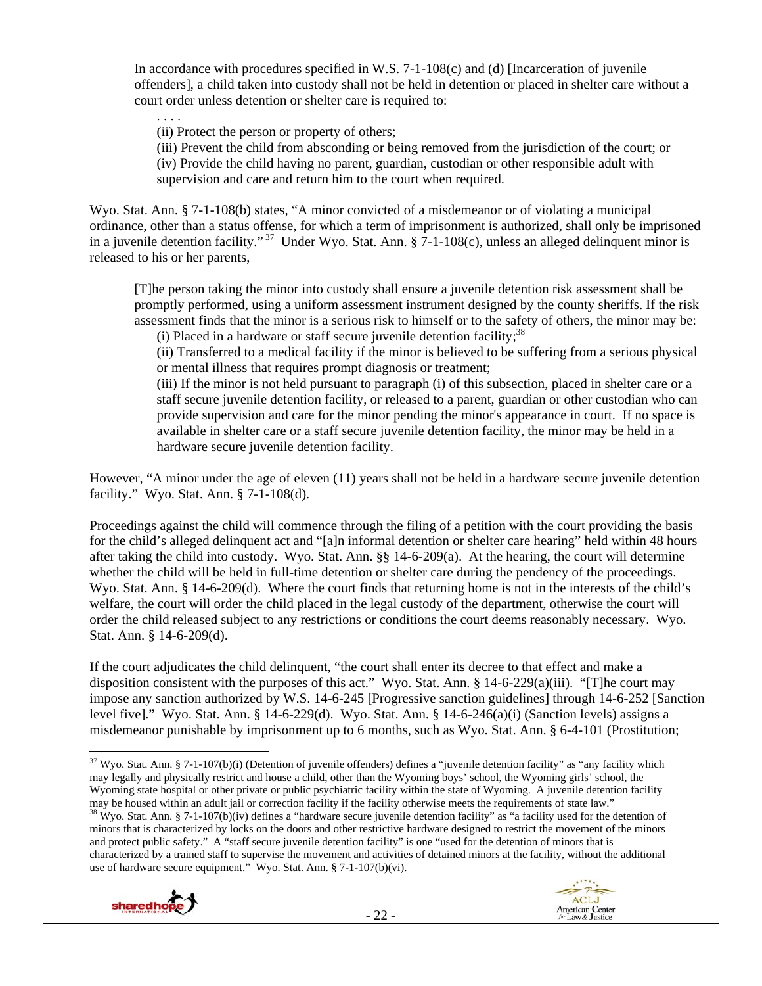In accordance with procedures specified in W.S. 7-1-108(c) and (d) [Incarceration of juvenile offenders], a child taken into custody shall not be held in detention or placed in shelter care without a court order unless detention or shelter care is required to:

. . . . (ii) Protect the person or property of others;

(iii) Prevent the child from absconding or being removed from the jurisdiction of the court; or (iv) Provide the child having no parent, guardian, custodian or other responsible adult with supervision and care and return him to the court when required.

Wyo. Stat. Ann. § 7-1-108(b) states, "A minor convicted of a misdemeanor or of violating a municipal ordinance, other than a status offense, for which a term of imprisonment is authorized, shall only be imprisoned in a juvenile detention facility."<sup>37</sup> Under Wyo. Stat. Ann.  $\S$  7-1-108(c), unless an alleged delinquent minor is released to his or her parents,

[T]he person taking the minor into custody shall ensure a juvenile detention risk assessment shall be promptly performed, using a uniform assessment instrument designed by the county sheriffs. If the risk assessment finds that the minor is a serious risk to himself or to the safety of others, the minor may be:

(i) Placed in a hardware or staff secure juvenile detention facility; $38$ 

(ii) Transferred to a medical facility if the minor is believed to be suffering from a serious physical or mental illness that requires prompt diagnosis or treatment;

(iii) If the minor is not held pursuant to paragraph (i) of this subsection, placed in shelter care or a staff secure juvenile detention facility, or released to a parent, guardian or other custodian who can provide supervision and care for the minor pending the minor's appearance in court. If no space is available in shelter care or a staff secure juvenile detention facility, the minor may be held in a hardware secure juvenile detention facility.

However, "A minor under the age of eleven (11) years shall not be held in a hardware secure juvenile detention facility." Wyo. Stat. Ann. § 7-1-108(d).

Proceedings against the child will commence through the filing of a petition with the court providing the basis for the child's alleged delinquent act and "[a]n informal detention or shelter care hearing" held within 48 hours after taking the child into custody. Wyo. Stat. Ann. §§ 14-6-209(a). At the hearing, the court will determine whether the child will be held in full-time detention or shelter care during the pendency of the proceedings. Wyo. Stat. Ann. § 14-6-209(d). Where the court finds that returning home is not in the interests of the child's welfare, the court will order the child placed in the legal custody of the department, otherwise the court will order the child released subject to any restrictions or conditions the court deems reasonably necessary. Wyo. Stat. Ann. § 14-6-209(d).

If the court adjudicates the child delinquent, "the court shall enter its decree to that effect and make a disposition consistent with the purposes of this act." Wyo. Stat. Ann. § 14-6-229(a)(iii). "[T]he court may impose any sanction authorized by W.S. 14-6-245 [Progressive sanction guidelines] through 14-6-252 [Sanction level five]." Wyo. Stat. Ann. § 14-6-229(d). Wyo. Stat. Ann. § 14-6-246(a)(i) (Sanction levels) assigns a misdemeanor punishable by imprisonment up to 6 months, such as Wyo. Stat. Ann. § 6-4-101 (Prostitution;

<sup>&</sup>lt;sup>38</sup> Wyo. Stat. Ann. § 7-1-107(b)(iv) defines a "hardware secure juvenile detention facility" as "a facility used for the detention of minors that is characterized by locks on the doors and other restrictive hardware designed to restrict the movement of the minors and protect public safety." A "staff secure juvenile detention facility" is one "used for the detention of minors that is characterized by a trained staff to supervise the movement and activities of detained minors at the facility, without the additional use of hardware secure equipment." Wyo. Stat. Ann. § 7-1-107(b)(vi).



  $37$  Wyo. Stat. Ann. § 7-1-107(b)(i) (Detention of juvenile offenders) defines a "juvenile detention facility" as "any facility which may legally and physically restrict and house a child, other than the Wyoming boys' school, the Wyoming girls' school, the Wyoming state hospital or other private or public psychiatric facility within the state of Wyoming. A juvenile detention facility may be housed within an adult jail or correction facility if the facility otherwise meets th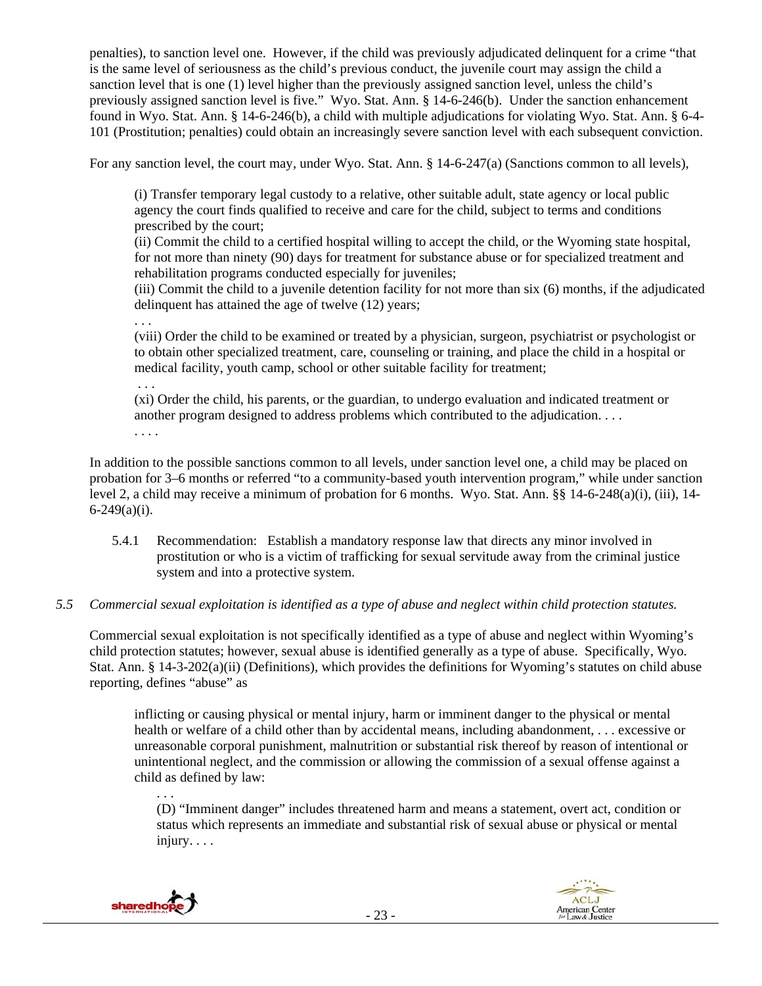penalties), to sanction level one. However, if the child was previously adjudicated delinquent for a crime "that is the same level of seriousness as the child's previous conduct, the juvenile court may assign the child a sanction level that is one (1) level higher than the previously assigned sanction level, unless the child's previously assigned sanction level is five." Wyo. Stat. Ann. § 14-6-246(b). Under the sanction enhancement found in Wyo. Stat. Ann. § 14-6-246(b), a child with multiple adjudications for violating Wyo. Stat. Ann. § 6-4- 101 (Prostitution; penalties) could obtain an increasingly severe sanction level with each subsequent conviction.

For any sanction level, the court may, under Wyo. Stat. Ann. § 14-6-247(a) (Sanctions common to all levels),

(i) Transfer temporary legal custody to a relative, other suitable adult, state agency or local public agency the court finds qualified to receive and care for the child, subject to terms and conditions prescribed by the court;

(ii) Commit the child to a certified hospital willing to accept the child, or the Wyoming state hospital, for not more than ninety (90) days for treatment for substance abuse or for specialized treatment and rehabilitation programs conducted especially for juveniles;

(iii) Commit the child to a juvenile detention facility for not more than six (6) months, if the adjudicated delinquent has attained the age of twelve (12) years;

. . . (viii) Order the child to be examined or treated by a physician, surgeon, psychiatrist or psychologist or to obtain other specialized treatment, care, counseling or training, and place the child in a hospital or medical facility, youth camp, school or other suitable facility for treatment;

. . .

(xi) Order the child, his parents, or the guardian, to undergo evaluation and indicated treatment or another program designed to address problems which contributed to the adjudication. . . . . . . .

In addition to the possible sanctions common to all levels, under sanction level one, a child may be placed on probation for 3–6 months or referred "to a community-based youth intervention program," while under sanction level 2, a child may receive a minimum of probation for 6 months. Wyo. Stat. Ann. §§ 14-6-248(a)(i), (iii), 14-  $6 - 249(a)(i)$ .

5.4.1 Recommendation: Establish a mandatory response law that directs any minor involved in prostitution or who is a victim of trafficking for sexual servitude away from the criminal justice system and into a protective system.

## *5.5 Commercial sexual exploitation is identified as a type of abuse and neglect within child protection statutes.*

Commercial sexual exploitation is not specifically identified as a type of abuse and neglect within Wyoming's child protection statutes; however, sexual abuse is identified generally as a type of abuse. Specifically, Wyo. Stat. Ann. § 14-3-202(a)(ii) (Definitions), which provides the definitions for Wyoming's statutes on child abuse reporting, defines "abuse" as

inflicting or causing physical or mental injury, harm or imminent danger to the physical or mental health or welfare of a child other than by accidental means, including abandonment, . . . excessive or unreasonable corporal punishment, malnutrition or substantial risk thereof by reason of intentional or unintentional neglect, and the commission or allowing the commission of a sexual offense against a child as defined by law:

. . . (D) "Imminent danger" includes threatened harm and means a statement, overt act, condition or status which represents an immediate and substantial risk of sexual abuse or physical or mental injury. . . .



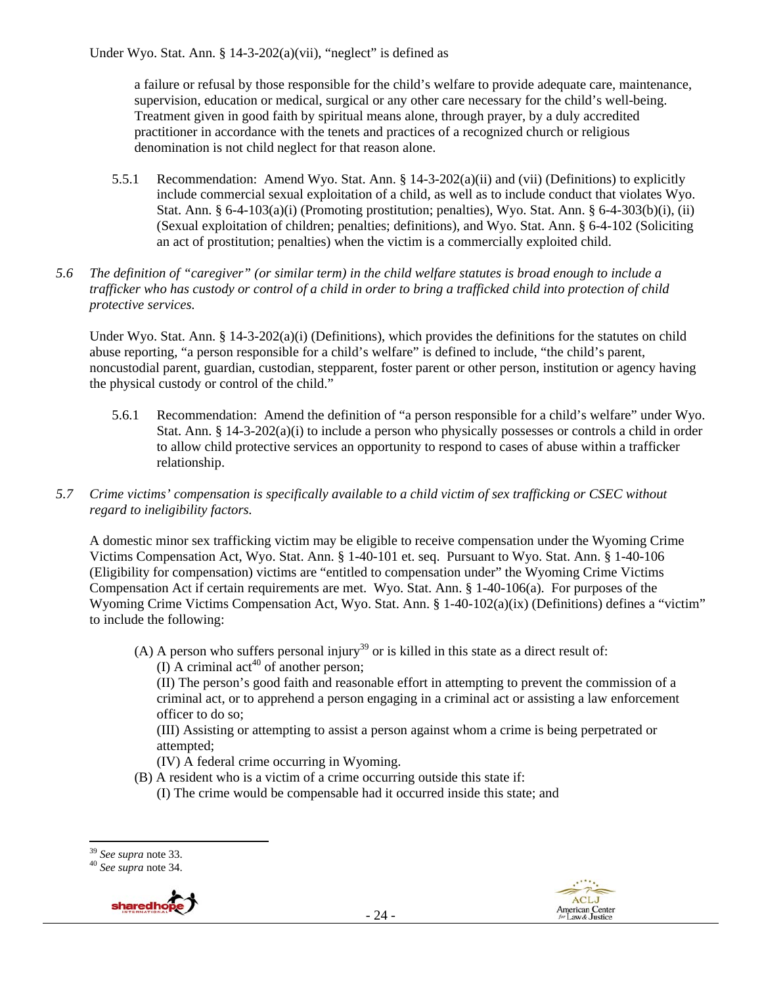a failure or refusal by those responsible for the child's welfare to provide adequate care, maintenance, supervision, education or medical, surgical or any other care necessary for the child's well-being. Treatment given in good faith by spiritual means alone, through prayer, by a duly accredited practitioner in accordance with the tenets and practices of a recognized church or religious denomination is not child neglect for that reason alone.

- 5.5.1 Recommendation: Amend Wyo. Stat. Ann. § 14-3-202(a)(ii) and (vii) (Definitions) to explicitly include commercial sexual exploitation of a child, as well as to include conduct that violates Wyo. Stat. Ann. §  $6-4-103(a)(i)$  (Promoting prostitution; penalties), Wyo. Stat. Ann. §  $6-4-303(b)(i)$ , (ii) (Sexual exploitation of children; penalties; definitions), and Wyo. Stat. Ann. § 6-4-102 (Soliciting an act of prostitution; penalties) when the victim is a commercially exploited child.
- *5.6 The definition of "caregiver" (or similar term) in the child welfare statutes is broad enough to include a*  trafficker who has custody or control of a child in order to bring a trafficked child into protection of child *protective services.*

Under Wyo. Stat. Ann. §  $14-3-202(a)(i)$  (Definitions), which provides the definitions for the statutes on child abuse reporting, "a person responsible for a child's welfare" is defined to include, "the child's parent, noncustodial parent, guardian, custodian, stepparent, foster parent or other person, institution or agency having the physical custody or control of the child."

- 5.6.1 Recommendation: Amend the definition of "a person responsible for a child's welfare" under Wyo. Stat. Ann. § 14-3-202(a)(i) to include a person who physically possesses or controls a child in order to allow child protective services an opportunity to respond to cases of abuse within a trafficker relationship.
- *5.7 Crime victims' compensation is specifically available to a child victim of sex trafficking or CSEC without regard to ineligibility factors.*

A domestic minor sex trafficking victim may be eligible to receive compensation under the Wyoming Crime Victims Compensation Act, Wyo. Stat. Ann. § 1-40-101 et. seq. Pursuant to Wyo. Stat. Ann. § 1-40-106 (Eligibility for compensation) victims are "entitled to compensation under" the Wyoming Crime Victims Compensation Act if certain requirements are met. Wyo. Stat. Ann. § 1-40-106(a). For purposes of the Wyoming Crime Victims Compensation Act, Wyo. Stat. Ann. § 1-40-102(a)(ix) (Definitions) defines a "victim" to include the following:

(A) A person who suffers personal injury<sup>39</sup> or is killed in this state as a direct result of:  $\overline{1}$  A criminal act<sup>40</sup> of another person:

(II) The person's good faith and reasonable effort in attempting to prevent the commission of a criminal act, or to apprehend a person engaging in a criminal act or assisting a law enforcement officer to do so;

(III) Assisting or attempting to assist a person against whom a crime is being perpetrated or attempted;

(IV) A federal crime occurring in Wyoming.

- (B) A resident who is a victim of a crime occurring outside this state if: (I) The crime would be compensable had it occurred inside this state; and
- 





 <sup>39</sup> *See supra* note 33. 40 *See supra* note 34.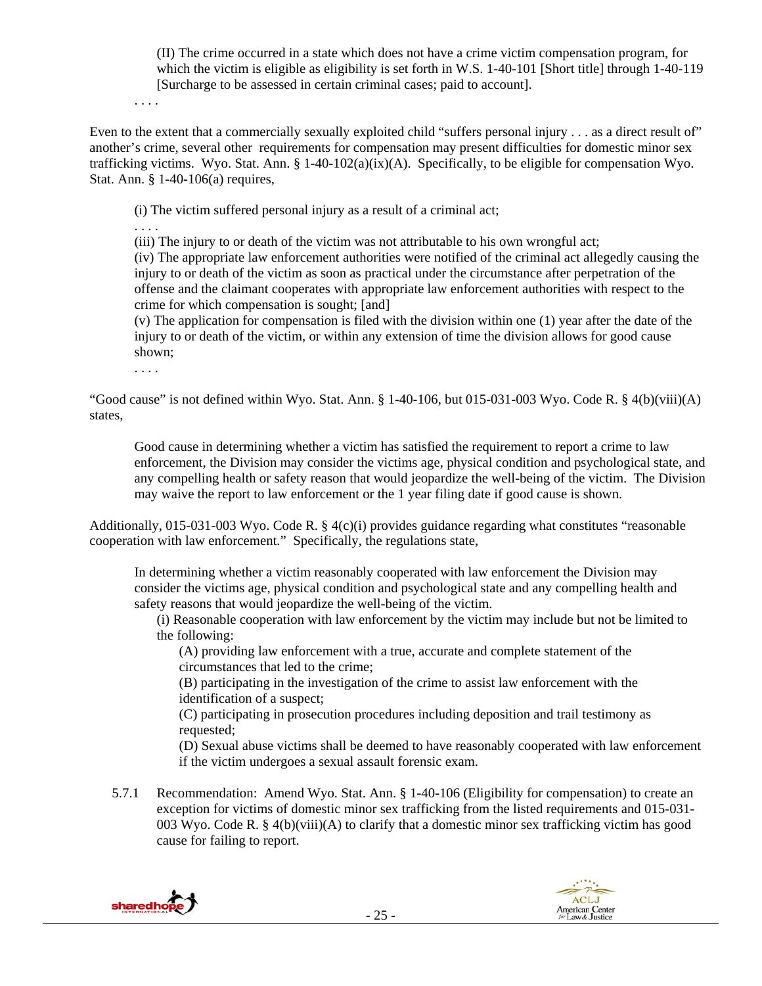(II) The crime occurred in a state which does not have a crime victim compensation program, for which the victim is eligible as eligibility is set forth in W.S. 1-40-101 [Short title] through 1-40-119 [Surcharge to be assessed in certain criminal cases; paid to account].

. . . .

Even to the extent that a commercially sexually exploited child "suffers personal injury . . . as a direct result of" another's crime, several other requirements for compensation may present difficulties for domestic minor sex trafficking victims. Wyo. Stat. Ann.  $\S 1-40-102(a)(ix)(A)$ . Specifically, to be eligible for compensation Wyo. Stat. Ann. § 1-40-106(a) requires,

(i) The victim suffered personal injury as a result of a criminal act;

. . . .

(iii) The injury to or death of the victim was not attributable to his own wrongful act;

(iv) The appropriate law enforcement authorities were notified of the criminal act allegedly causing the injury to or death of the victim as soon as practical under the circumstance after perpetration of the offense and the claimant cooperates with appropriate law enforcement authorities with respect to the crime for which compensation is sought; [and]

(v) The application for compensation is filed with the division within one (1) year after the date of the injury to or death of the victim, or within any extension of time the division allows for good cause shown;

. . . .

"Good cause" is not defined within Wyo. Stat. Ann.  $\S$  1-40-106, but 015-031-003 Wyo. Code R.  $\S$  4(b)(viii)(A) states,

Good cause in determining whether a victim has satisfied the requirement to report a crime to law enforcement, the Division may consider the victims age, physical condition and psychological state, and any compelling health or safety reason that would jeopardize the well-being of the victim. The Division may waive the report to law enforcement or the 1 year filing date if good cause is shown.

Additionally, 015-031-003 Wyo. Code R. § 4(c)(i) provides guidance regarding what constitutes "reasonable cooperation with law enforcement." Specifically, the regulations state,

In determining whether a victim reasonably cooperated with law enforcement the Division may consider the victims age, physical condition and psychological state and any compelling health and safety reasons that would jeopardize the well-being of the victim.

(i) Reasonable cooperation with law enforcement by the victim may include but not be limited to the following:

(A) providing law enforcement with a true, accurate and complete statement of the circumstances that led to the crime;

(B) participating in the investigation of the crime to assist law enforcement with the identification of a suspect;

(C) participating in prosecution procedures including deposition and trail testimony as requested;

(D) Sexual abuse victims shall be deemed to have reasonably cooperated with law enforcement if the victim undergoes a sexual assault forensic exam.

5.7.1 Recommendation: Amend Wyo. Stat. Ann. § 1-40-106 (Eligibility for compensation) to create an exception for victims of domestic minor sex trafficking from the listed requirements and 015-031- 003 Wyo. Code R. § 4(b)(viii)(A) to clarify that a domestic minor sex trafficking victim has good cause for failing to report.



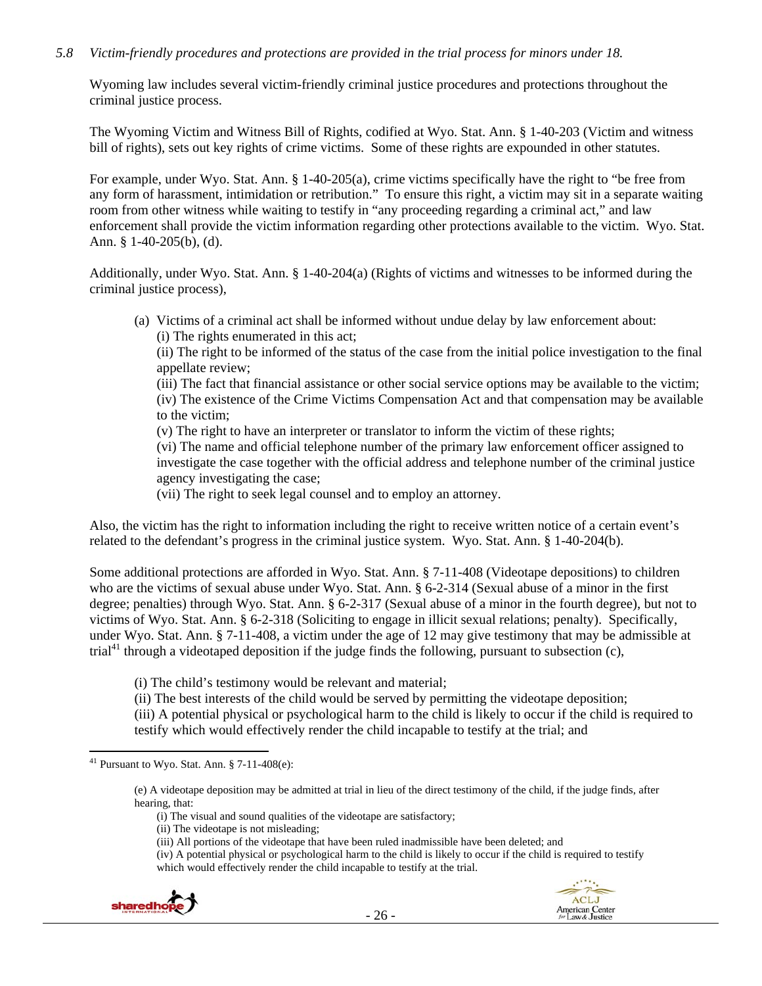## *5.8 Victim-friendly procedures and protections are provided in the trial process for minors under 18.*

Wyoming law includes several victim-friendly criminal justice procedures and protections throughout the criminal justice process.

The Wyoming Victim and Witness Bill of Rights, codified at Wyo. Stat. Ann. § 1-40-203 (Victim and witness bill of rights), sets out key rights of crime victims. Some of these rights are expounded in other statutes.

For example, under Wyo. Stat. Ann. § 1-40-205(a), crime victims specifically have the right to "be free from any form of harassment, intimidation or retribution." To ensure this right, a victim may sit in a separate waiting room from other witness while waiting to testify in "any proceeding regarding a criminal act," and law enforcement shall provide the victim information regarding other protections available to the victim. Wyo. Stat. Ann. § 1-40-205(b), (d).

Additionally, under Wyo. Stat. Ann. § 1-40-204(a) (Rights of victims and witnesses to be informed during the criminal justice process),

(a) Victims of a criminal act shall be informed without undue delay by law enforcement about: (i) The rights enumerated in this act;

(ii) The right to be informed of the status of the case from the initial police investigation to the final appellate review;

(iii) The fact that financial assistance or other social service options may be available to the victim; (iv) The existence of the Crime Victims Compensation Act and that compensation may be available to the victim;

(v) The right to have an interpreter or translator to inform the victim of these rights;

(vi) The name and official telephone number of the primary law enforcement officer assigned to investigate the case together with the official address and telephone number of the criminal justice agency investigating the case;

(vii) The right to seek legal counsel and to employ an attorney.

Also, the victim has the right to information including the right to receive written notice of a certain event's related to the defendant's progress in the criminal justice system. Wyo. Stat. Ann. § 1-40-204(b).

Some additional protections are afforded in Wyo. Stat. Ann. § 7-11-408 (Videotape depositions) to children who are the victims of sexual abuse under Wyo. Stat. Ann. § 6-2-314 (Sexual abuse of a minor in the first degree; penalties) through Wyo. Stat. Ann. § 6-2-317 (Sexual abuse of a minor in the fourth degree), but not to victims of Wyo. Stat. Ann. § 6-2-318 (Soliciting to engage in illicit sexual relations; penalty). Specifically, under Wyo. Stat. Ann. § 7-11-408, a victim under the age of 12 may give testimony that may be admissible at trial<sup>41</sup> through a videotaped deposition if the judge finds the following, pursuant to subsection (c),

(i) The child's testimony would be relevant and material;

(ii) The best interests of the child would be served by permitting the videotape deposition;

(iii) A potential physical or psychological harm to the child is likely to occur if the child is required to testify which would effectively render the child incapable to testify at the trial; and

(iv) A potential physical or psychological harm to the child is likely to occur if the child is required to testify which would effectively render the child incapable to testify at the trial.



 $41$  Pursuant to Wyo. Stat. Ann. § 7-11-408(e):

<sup>(</sup>e) A videotape deposition may be admitted at trial in lieu of the direct testimony of the child, if the judge finds, after hearing, that:

<sup>(</sup>i) The visual and sound qualities of the videotape are satisfactory;

<sup>(</sup>ii) The videotape is not misleading;

<sup>(</sup>iii) All portions of the videotape that have been ruled inadmissible have been deleted; and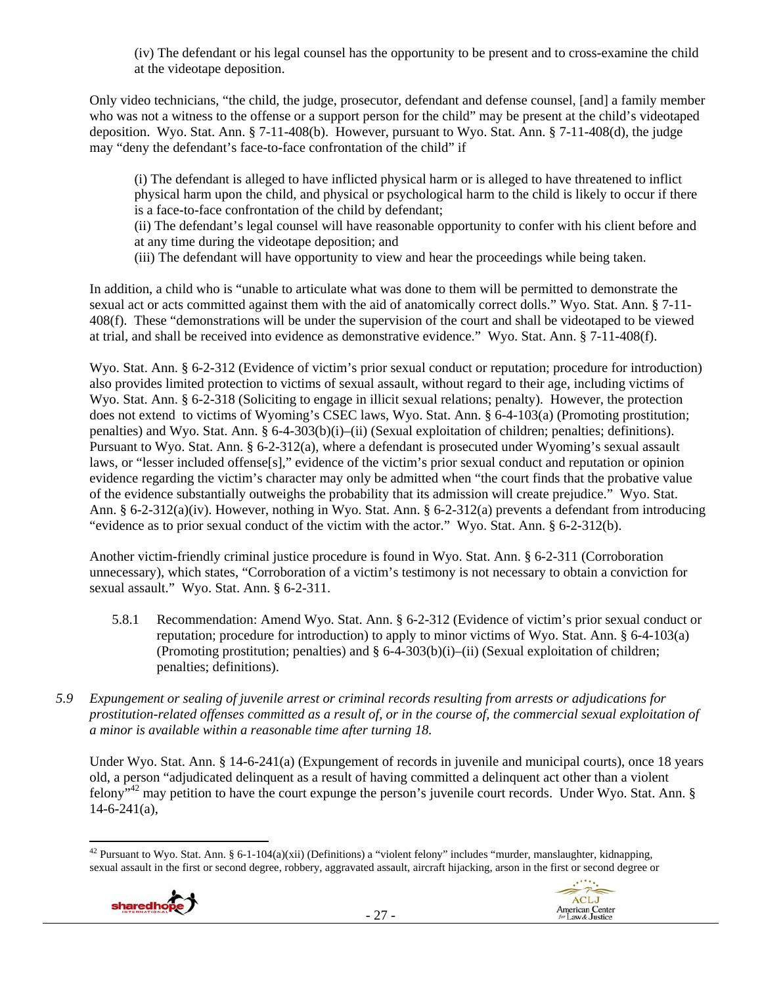(iv) The defendant or his legal counsel has the opportunity to be present and to cross-examine the child at the videotape deposition.

Only video technicians, "the child, the judge, prosecutor, defendant and defense counsel, [and] a family member who was not a witness to the offense or a support person for the child" may be present at the child's videotaped deposition. Wyo. Stat. Ann. § 7-11-408(b). However, pursuant to Wyo. Stat. Ann. § 7-11-408(d), the judge may "deny the defendant's face-to-face confrontation of the child" if

(i) The defendant is alleged to have inflicted physical harm or is alleged to have threatened to inflict physical harm upon the child, and physical or psychological harm to the child is likely to occur if there is a face-to-face confrontation of the child by defendant;

(ii) The defendant's legal counsel will have reasonable opportunity to confer with his client before and at any time during the videotape deposition; and

(iii) The defendant will have opportunity to view and hear the proceedings while being taken.

In addition, a child who is "unable to articulate what was done to them will be permitted to demonstrate the sexual act or acts committed against them with the aid of anatomically correct dolls." Wyo. Stat. Ann. § 7-11- 408(f). These "demonstrations will be under the supervision of the court and shall be videotaped to be viewed at trial, and shall be received into evidence as demonstrative evidence." Wyo. Stat. Ann. § 7-11-408(f).

Wyo. Stat. Ann. § 6-2-312 (Evidence of victim's prior sexual conduct or reputation; procedure for introduction) also provides limited protection to victims of sexual assault, without regard to their age, including victims of Wyo. Stat. Ann. § 6-2-318 (Soliciting to engage in illicit sexual relations; penalty). However, the protection does not extend to victims of Wyoming's CSEC laws, Wyo. Stat. Ann. § 6-4-103(a) (Promoting prostitution; penalties) and Wyo. Stat. Ann. § 6-4-303(b)(i)–(ii) (Sexual exploitation of children; penalties; definitions). Pursuant to Wyo. Stat. Ann. § 6-2-312(a), where a defendant is prosecuted under Wyoming's sexual assault laws, or "lesser included offense[s]," evidence of the victim's prior sexual conduct and reputation or opinion evidence regarding the victim's character may only be admitted when "the court finds that the probative value of the evidence substantially outweighs the probability that its admission will create prejudice." Wyo. Stat. Ann. § 6-2-312(a)(iv). However, nothing in Wyo. Stat. Ann. § 6-2-312(a) prevents a defendant from introducing "evidence as to prior sexual conduct of the victim with the actor." Wyo. Stat. Ann. § 6-2-312(b).

Another victim-friendly criminal justice procedure is found in Wyo. Stat. Ann. § 6-2-311 (Corroboration unnecessary), which states, "Corroboration of a victim's testimony is not necessary to obtain a conviction for sexual assault." Wyo. Stat. Ann. § 6-2-311.

- 5.8.1 Recommendation: Amend Wyo. Stat. Ann. § 6-2-312 (Evidence of victim's prior sexual conduct or reputation; procedure for introduction) to apply to minor victims of Wyo. Stat. Ann. § 6-4-103(a) (Promoting prostitution; penalties) and § 6-4-303(b)(i)–(ii) (Sexual exploitation of children; penalties; definitions).
- *5.9 Expungement or sealing of juvenile arrest or criminal records resulting from arrests or adjudications for prostitution-related offenses committed as a result of, or in the course of, the commercial sexual exploitation of a minor is available within a reasonable time after turning 18.*

Under Wyo. Stat. Ann. § 14-6-241(a) (Expungement of records in juvenile and municipal courts), once 18 years old, a person "adjudicated delinquent as a result of having committed a delinquent act other than a violent felony"42 may petition to have the court expunge the person's juvenile court records. Under Wyo. Stat. Ann. §  $14-6-241(a)$ ,

 <sup>42</sup> Pursuant to Wyo. Stat. Ann. § 6-1-104(a)(xii) (Definitions) a "violent felony" includes "murder, manslaughter, kidnapping, sexual assault in the first or second degree, robbery, aggravated assault, aircraft hijacking, arson in the first or second degree or

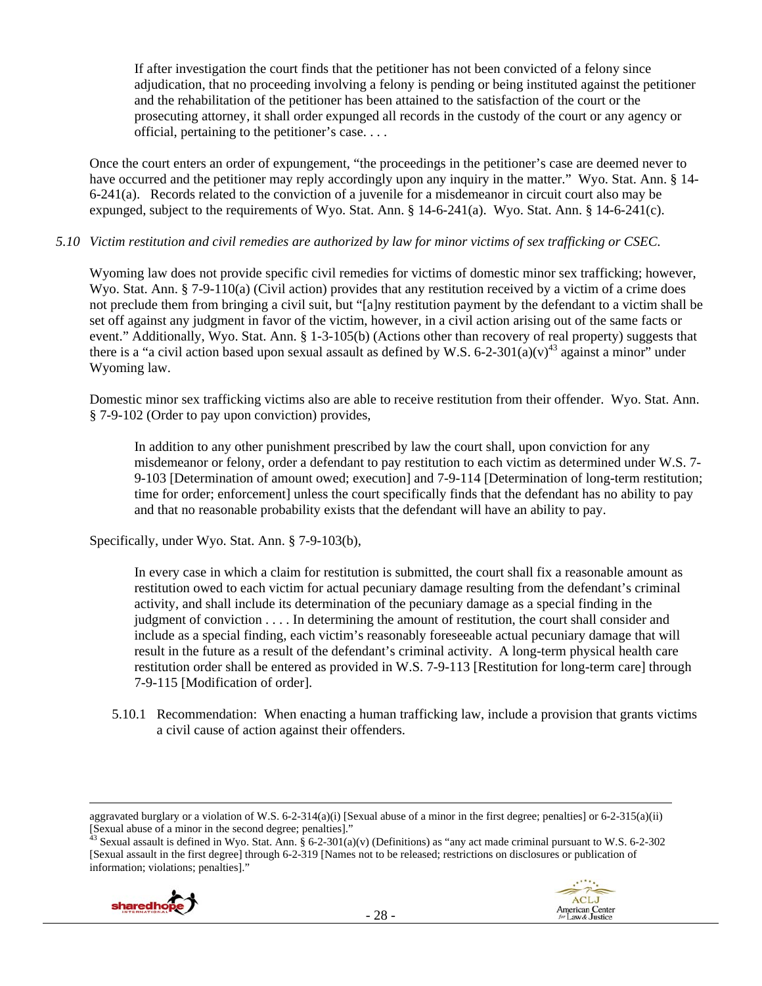If after investigation the court finds that the petitioner has not been convicted of a felony since adjudication, that no proceeding involving a felony is pending or being instituted against the petitioner and the rehabilitation of the petitioner has been attained to the satisfaction of the court or the prosecuting attorney, it shall order expunged all records in the custody of the court or any agency or official, pertaining to the petitioner's case. . . .

Once the court enters an order of expungement, "the proceedings in the petitioner's case are deemed never to have occurred and the petitioner may reply accordingly upon any inquiry in the matter." Wyo. Stat. Ann. § 14-6-241(a). Records related to the conviction of a juvenile for a misdemeanor in circuit court also may be expunged, subject to the requirements of Wyo. Stat. Ann. § 14-6-241(a). Wyo. Stat. Ann. § 14-6-241(c).

#### *5.10 Victim restitution and civil remedies are authorized by law for minor victims of sex trafficking or CSEC.*

Wyoming law does not provide specific civil remedies for victims of domestic minor sex trafficking; however, Wyo. Stat. Ann. § 7-9-110(a) (Civil action) provides that any restitution received by a victim of a crime does not preclude them from bringing a civil suit, but "[a]ny restitution payment by the defendant to a victim shall be set off against any judgment in favor of the victim, however, in a civil action arising out of the same facts or event." Additionally, Wyo. Stat. Ann. § 1-3-105(b) (Actions other than recovery of real property) suggests that there is a "a civil action based upon sexual assault as defined by W.S. 6-2-301(a)(y)<sup>43</sup> against a minor" under Wyoming law.

Domestic minor sex trafficking victims also are able to receive restitution from their offender. Wyo. Stat. Ann. § 7-9-102 (Order to pay upon conviction) provides,

In addition to any other punishment prescribed by law the court shall, upon conviction for any misdemeanor or felony, order a defendant to pay restitution to each victim as determined under W.S. 7- 9-103 [Determination of amount owed; execution] and 7-9-114 [Determination of long-term restitution; time for order; enforcement] unless the court specifically finds that the defendant has no ability to pay and that no reasonable probability exists that the defendant will have an ability to pay.

Specifically, under Wyo. Stat. Ann. § 7-9-103(b),

In every case in which a claim for restitution is submitted, the court shall fix a reasonable amount as restitution owed to each victim for actual pecuniary damage resulting from the defendant's criminal activity, and shall include its determination of the pecuniary damage as a special finding in the judgment of conviction . . . . In determining the amount of restitution, the court shall consider and include as a special finding, each victim's reasonably foreseeable actual pecuniary damage that will result in the future as a result of the defendant's criminal activity. A long-term physical health care restitution order shall be entered as provided in W.S. 7-9-113 [Restitution for long-term care] through 7-9-115 [Modification of order].

5.10.1 Recommendation: When enacting a human trafficking law, include a provision that grants victims a civil cause of action against their offenders.

Sexual assault is defined in Wyo. Stat. Ann. § 6-2-301(a)(v) (Definitions) as "any act made criminal pursuant to W.S. 6-2-302 [Sexual assault in the first degree] through 6-2-319 [Names not to be released; restrictions on disclosures or publication of information; violations; penalties]."



<sup>&</sup>lt;u> 1989 - Johann Stoff, fransk politik (d. 1989)</u> aggravated burglary or a violation of W.S. 6-2-314(a)(i) [Sexual abuse of a minor in the first degree; penalties] or 6-2-315(a)(ii) [Sexual abuse of a minor in the second degree; penalties]."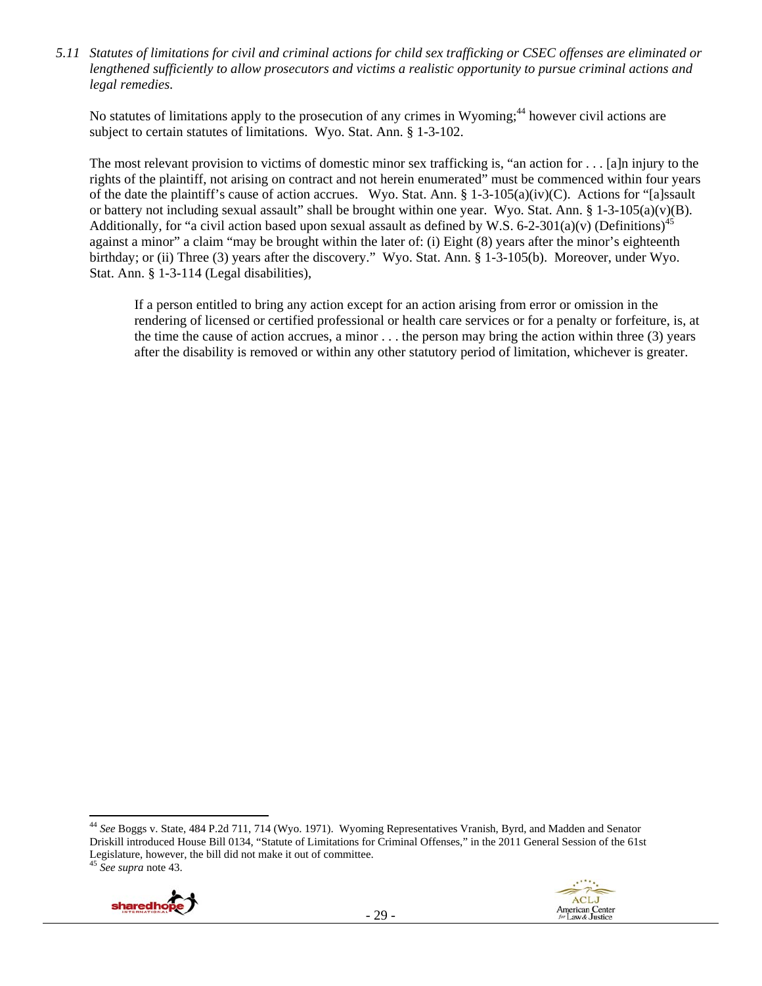*5.11 Statutes of limitations for civil and criminal actions for child sex trafficking or CSEC offenses are eliminated or lengthened sufficiently to allow prosecutors and victims a realistic opportunity to pursue criminal actions and legal remedies.* 

No statutes of limitations apply to the prosecution of any crimes in Wyoming;<sup>44</sup> however civil actions are subject to certain statutes of limitations. Wyo. Stat. Ann. § 1-3-102.

The most relevant provision to victims of domestic minor sex trafficking is, "an action for . . . [a]n injury to the rights of the plaintiff, not arising on contract and not herein enumerated" must be commenced within four years of the date the plaintiff's cause of action accrues. Wyo. Stat. Ann. § 1-3-105(a)(iv)(C). Actions for "[a]ssault or battery not including sexual assault" shall be brought within one year. Wyo. Stat. Ann. § 1-3-105(a)(v)(B). Additionally, for "a civil action based upon sexual assault as defined by W.S. 6-2-301(a)(v) (Definitions)<sup>45</sup> against a minor" a claim "may be brought within the later of: (i) Eight (8) years after the minor's eighteenth birthday; or (ii) Three (3) years after the discovery." Wyo. Stat. Ann. § 1-3-105(b). Moreover, under Wyo. Stat. Ann. § 1-3-114 (Legal disabilities),

If a person entitled to bring any action except for an action arising from error or omission in the rendering of licensed or certified professional or health care services or for a penalty or forfeiture, is, at the time the cause of action accrues, a minor  $\dots$  the person may bring the action within three (3) years after the disability is removed or within any other statutory period of limitation, whichever is greater.

<sup>44</sup> *See* Boggs v. State, 484 P.2d 711, 714 (Wyo. 1971). Wyoming Representatives Vranish, Byrd, and Madden and Senator Driskill introduced House Bill 0134, "Statute of Limitations for Criminal Offenses," in the 2011 General Session of the 61st Legislature, however, the bill did not make it out of committee. <sup>45</sup> *See supra* note 43.



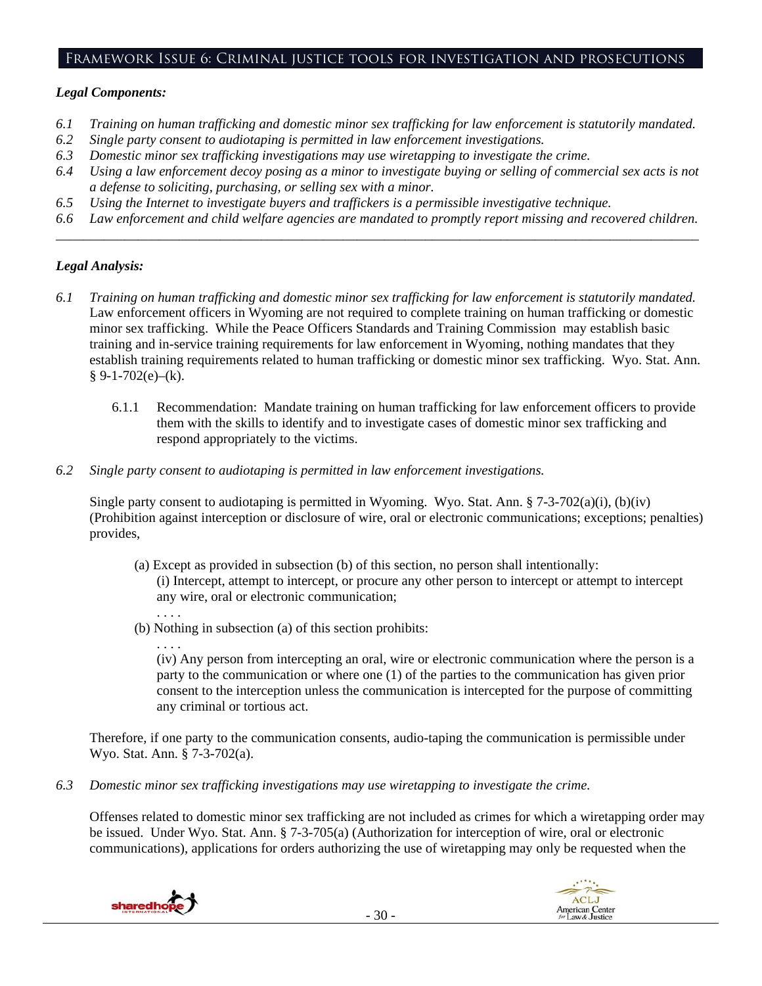## Framework Issue 6: Criminal justice tools for investigation and prosecutions

#### *Legal Components:*

- *6.1 Training on human trafficking and domestic minor sex trafficking for law enforcement is statutorily mandated.*
- *6.2 Single party consent to audiotaping is permitted in law enforcement investigations.*
- *6.3 Domestic minor sex trafficking investigations may use wiretapping to investigate the crime.*
- *6.4 Using a law enforcement decoy posing as a minor to investigate buying or selling of commercial sex acts is not a defense to soliciting, purchasing, or selling sex with a minor.*
- *6.5 Using the Internet to investigate buyers and traffickers is a permissible investigative technique.*
- *6.6 Law enforcement and child welfare agencies are mandated to promptly report missing and recovered children. \_\_\_\_\_\_\_\_\_\_\_\_\_\_\_\_\_\_\_\_\_\_\_\_\_\_\_\_\_\_\_\_\_\_\_\_\_\_\_\_\_\_\_\_\_\_\_\_\_\_\_\_\_\_\_\_\_\_\_\_\_\_\_\_\_\_\_\_\_\_\_\_\_\_\_\_\_\_\_\_\_\_\_\_\_\_\_\_\_\_\_\_\_\_*

## *Legal Analysis:*

- *6.1 Training on human trafficking and domestic minor sex trafficking for law enforcement is statutorily mandated.* Law enforcement officers in Wyoming are not required to complete training on human trafficking or domestic minor sex trafficking. While the Peace Officers Standards and Training Commission may establish basic training and in-service training requirements for law enforcement in Wyoming, nothing mandates that they establish training requirements related to human trafficking or domestic minor sex trafficking. Wyo. Stat. Ann.  $§ 9-1-702(e)–(k).$ 
	- 6.1.1 Recommendation: Mandate training on human trafficking for law enforcement officers to provide them with the skills to identify and to investigate cases of domestic minor sex trafficking and respond appropriately to the victims.
- *6.2 Single party consent to audiotaping is permitted in law enforcement investigations.*

Single party consent to audiotaping is permitted in Wyoming. Wyo. Stat. Ann. § 7-3-702(a)(i), (b)(iv) (Prohibition against interception or disclosure of wire, oral or electronic communications; exceptions; penalties) provides,

- (a) Except as provided in subsection (b) of this section, no person shall intentionally: (i) Intercept, attempt to intercept, or procure any other person to intercept or attempt to intercept any wire, oral or electronic communication;
- (b) Nothing in subsection (a) of this section prohibits:

. . . . (iv) Any person from intercepting an oral, wire or electronic communication where the person is a party to the communication or where one (1) of the parties to the communication has given prior consent to the interception unless the communication is intercepted for the purpose of committing any criminal or tortious act.

Therefore, if one party to the communication consents, audio-taping the communication is permissible under Wyo. Stat. Ann. § 7-3-702(a).

*6.3 Domestic minor sex trafficking investigations may use wiretapping to investigate the crime.* 

Offenses related to domestic minor sex trafficking are not included as crimes for which a wiretapping order may be issued. Under Wyo. Stat. Ann. § 7-3-705(a) (Authorization for interception of wire, oral or electronic communications), applications for orders authorizing the use of wiretapping may only be requested when the



. . . .

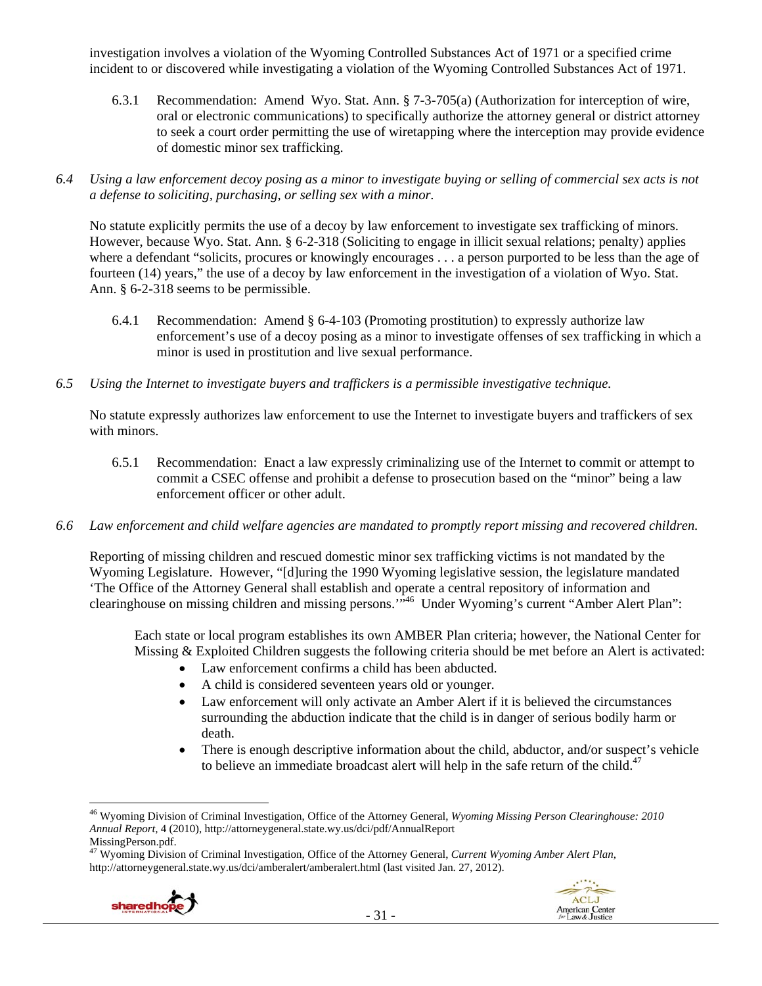investigation involves a violation of the Wyoming Controlled Substances Act of 1971 or a specified crime incident to or discovered while investigating a violation of the Wyoming Controlled Substances Act of 1971.

- 6.3.1 Recommendation: Amend Wyo. Stat. Ann. § 7-3-705(a) (Authorization for interception of wire, oral or electronic communications) to specifically authorize the attorney general or district attorney to seek a court order permitting the use of wiretapping where the interception may provide evidence of domestic minor sex trafficking.
- *6.4 Using a law enforcement decoy posing as a minor to investigate buying or selling of commercial sex acts is not a defense to soliciting, purchasing, or selling sex with a minor.*

No statute explicitly permits the use of a decoy by law enforcement to investigate sex trafficking of minors. However, because Wyo. Stat. Ann. § 6-2-318 (Soliciting to engage in illicit sexual relations; penalty) applies where a defendant "solicits, procures or knowingly encourages . . . a person purported to be less than the age of fourteen (14) years," the use of a decoy by law enforcement in the investigation of a violation of Wyo. Stat. Ann. § 6-2-318 seems to be permissible.

- 6.4.1 Recommendation: Amend § 6-4-103 (Promoting prostitution) to expressly authorize law enforcement's use of a decoy posing as a minor to investigate offenses of sex trafficking in which a minor is used in prostitution and live sexual performance.
- *6.5 Using the Internet to investigate buyers and traffickers is a permissible investigative technique.*

No statute expressly authorizes law enforcement to use the Internet to investigate buyers and traffickers of sex with minors.

- 6.5.1 Recommendation: Enact a law expressly criminalizing use of the Internet to commit or attempt to commit a CSEC offense and prohibit a defense to prosecution based on the "minor" being a law enforcement officer or other adult.
- *6.6 Law enforcement and child welfare agencies are mandated to promptly report missing and recovered children.*

Reporting of missing children and rescued domestic minor sex trafficking victims is not mandated by the Wyoming Legislature. However, "[d]uring the 1990 Wyoming legislative session, the legislature mandated 'The Office of the Attorney General shall establish and operate a central repository of information and clearinghouse on missing children and missing persons."<sup>46</sup> Under Wyoming's current "Amber Alert Plan":

Each state or local program establishes its own AMBER Plan criteria; however, the National Center for Missing & Exploited Children suggests the following criteria should be met before an Alert is activated:

- Law enforcement confirms a child has been abducted.
- A child is considered seventeen years old or younger.
- Law enforcement will only activate an Amber Alert if it is believed the circumstances surrounding the abduction indicate that the child is in danger of serious bodily harm or death.
- There is enough descriptive information about the child, abductor, and/or suspect's vehicle to believe an immediate broadcast alert will help in the safe return of the child.<sup>47</sup>

<sup>47</sup> Wyoming Division of Criminal Investigation, Office of the Attorney General, *Current Wyoming Amber Alert Plan*, http://attorneygeneral.state.wy.us/dci/amberalert/amberalert.html (last visited Jan. 27, 2012).





<sup>46</sup> Wyoming Division of Criminal Investigation, Office of the Attorney General, *Wyoming Missing Person Clearinghouse: 2010 Annual Report*, 4 (2010), http://attorneygeneral.state.wy.us/dci/pdf/AnnualReport MissingPerson.pdf.